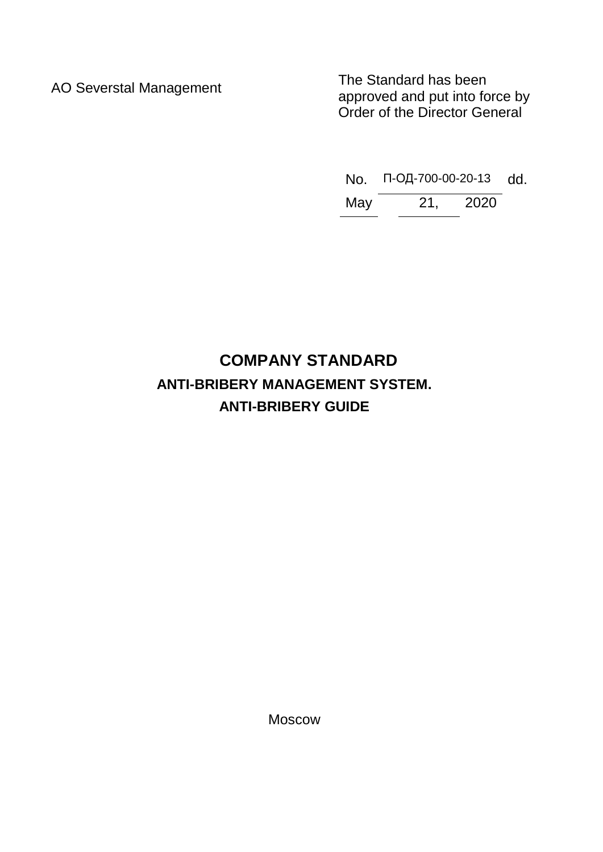AO Severstal Management<br>
AO Severstal Management<br>
Approved and put into form approved and put into force by Order of the Director General

No. П-ОД-700-00-20-13 dd.

May 21, 2020

# **COMPANY STANDARD ANTI-BRIBERY MANAGEMENT SYSTEM. ANTI-BRIBERY GUIDE**

Moscow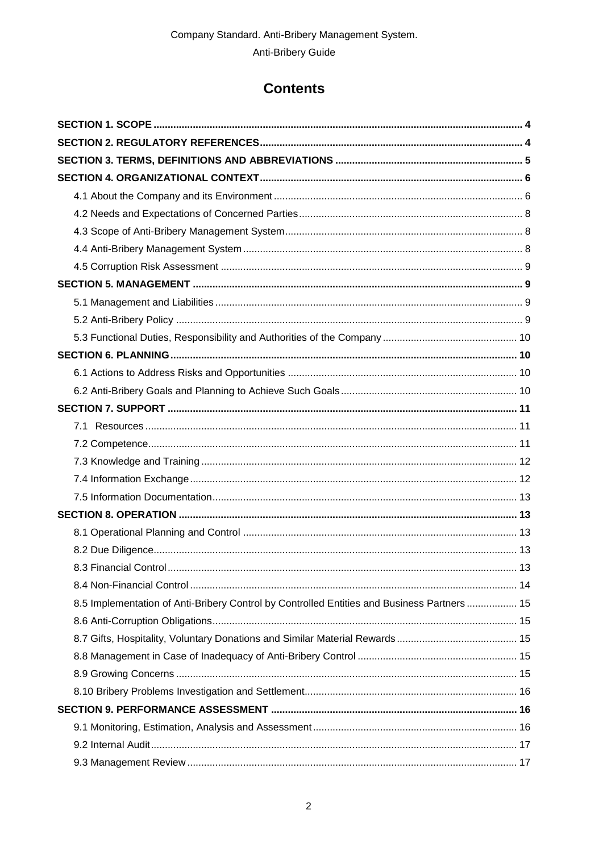# **Contents**

| 8.5 Implementation of Anti-Bribery Control by Controlled Entities and Business Partners  15 |  |
|---------------------------------------------------------------------------------------------|--|
|                                                                                             |  |
|                                                                                             |  |
|                                                                                             |  |
|                                                                                             |  |
|                                                                                             |  |
|                                                                                             |  |
|                                                                                             |  |
|                                                                                             |  |
|                                                                                             |  |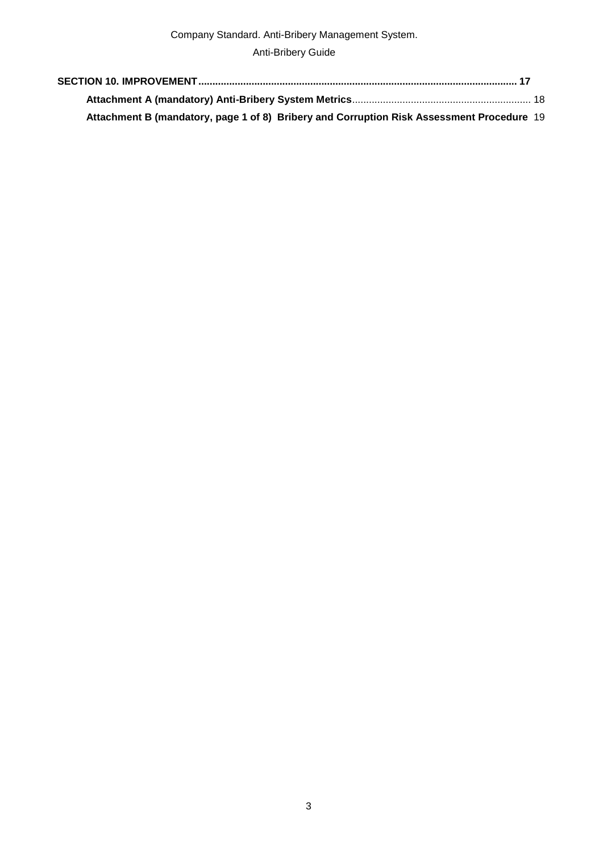Anti-Bribery Guide

| Attachment B (mandatory, page 1 of 8) Bribery and Corruption Risk Assessment Procedure 19 |  |
|-------------------------------------------------------------------------------------------|--|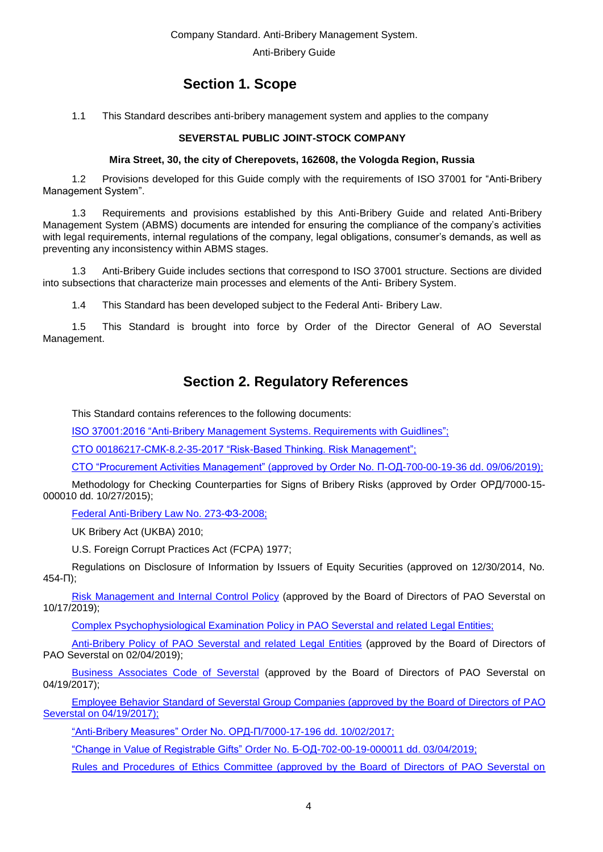Anti-Bribery Guide

# **Section 1. Scope**

<span id="page-3-0"></span>1.1 This Standard describes anti-bribery management system and applies to the company

### **SEVERSTAL PUBLIC JOINT-STOCK COMPANY**

#### **Mira Street, 30, the city of Cherepovets, 162608, the Vologda Region, Russia**

1.2 Provisions developed for this Guide comply with the requirements of ISO 37001 for "Anti-Bribery Management System".

1.3 Requirements and provisions established by this Anti-Bribery Guide and related Anti-Bribery Management System (ABMS) documents are intended for ensuring the compliance of the company's activities with legal requirements, internal regulations of the company, legal obligations, consumer's demands, as well as preventing any inconsistency within ABMS stages.

1.3 Anti-Bribery Guide includes sections that correspond to ISO 37001 structure. Sections are divided into subsections that characterize main processes and elements of the Anti- Bribery System.

1.4 This Standard has been developed subject to the Federal Anti- Bribery Law.

<span id="page-3-1"></span>1.5 This Standard is brought into force by Order of the Director General of AO Severstal Management.

# **Section 2. Regulatory References**

This Standard contains references to the following documents:

ISO 37001:2016 "Anti-Bribery [Management Systems. Requirements with Guidlines";](https://workspace.severstal.com/RusSteel/CMK/DocLib/Forms/AllItems.aspx?RootFolder=%2FRusSteel%2FCMK%2FDocLib%2F%D0%9E%D1%81%D0%BD%D0%BE%D0%B2%D0%BE%D0%BF%D0%BE%D0%BB%D0%B0%D0%B3%D0%B0%D1%8E%D1%89%D0%B8%D0%B5%20%D0%B4%D0%BE%D0%BA%D1%83%D0%BC%D0%B5%D0%BD%D1)

СТО [00186217-СМК-8.2-35-2017 "Risk-Based Thinking. Risk Management";](normacs://severstal.baza.ntd.ru/8s)

СТО ["Procurement Activities Management" \(approved by Order No. П-ОД-700-00-19-36 dd. 09/06/2019\);](normacs://severstal.baza.ntd.ru/as)

Methodology for Checking Counterparties for Signs of Bribery Risks (approved by Order ОРД/7000-15- 000010 dd. 10/27/2015);

[Federal Anti-Bribery Law No. 273-ФЗ-2008;](normacs://normacs.ru/veps)

UK Bribery Act (UKBA) 2010;

U.S. Foreign Corrupt Practices Act (FCPA) 1977;

Regulations on Disclosure of Information by Issuers of Equity Securities (approved on 12/30/2014, No. 454-П);

[Risk Management and Internal Control Policy](https://workspace.severstal.com/CorporateInf/normdocs/Normdocs/Политики/Политика%20в%20области%20управления%20рисками%20и%20внутреннего%20контроля.pdf) (approved by the Board of Directors of PAO Severstal on 10/17/2019);

[Complex Psychophysiological Examination Policy in PAO Severstal and related Legal Entities;](https://workspace.severstal.com/CorporateInf/normdocs/Normdocs/Политики/Политика%20проведения%20комплексных%20психофизиологических%20обследований.pdf)

[Anti-Bribery Policy of PAO Severstal and related Legal Entities](https://workspace.severstal.com/CorporateInf/normdocs/Normdocs/Политики/Политика%20противодействия%20коррупции%202019%20fin.pdf) (approved by the Board of Directors of PAO Severstal on 02/04/2019);

[Business Associates Code of Severstal](https://workspace.severstal.com/CorporateInf/normdocs/Normdocs/Кодексы/Кодекс%20делового%20партнерства%202017_04_04.pdf) (approved by the Board of Directors of PAO Severstal on 04/19/2017);

[Employee Behavior Standard of Severstal Group Companies \(approved by the Board of Directors of PAO](https://workspace.severstal.com/CorporateInf/normdocs/Normdocs/Стандарты/Стандарт%20поведения%20сотрудников.pdf)  [Severstal on 04/19/2017\);](https://workspace.severstal.com/CorporateInf/normdocs/Normdocs/Стандарты/Стандарт%20поведения%20сотрудников.pdf)

"Anti-Bribery Measures" Order [No. ОРД-П/7000-17-196 dd. 10/02/2017;](https://workspace.severstal.com/CorporateInf/normdocs/Normdocs/Приказы/О%20мерах%20по%20противодействию%20коррупции.pdf)

["Change in Value of Registrable Gifts" Order No. Б-ОД-702-00-19-000011 dd. 03/04/2019;](https://workspace.severstal.com/CorporateInf/normdocs/Normdocs/Приказы/Приказ%20об%20изменении%20стоимости%20подарков.pdf)

[Rules and Procedures of Ethics Committee \(approved by the Board of Directors of PAO Severstal on](https://workspace.severstal.com/CorporateInf/normdocs/Normdocs/Регламенты/Регламент%20работы%20Комитета%20по%20этике%202017_04_04.pdf)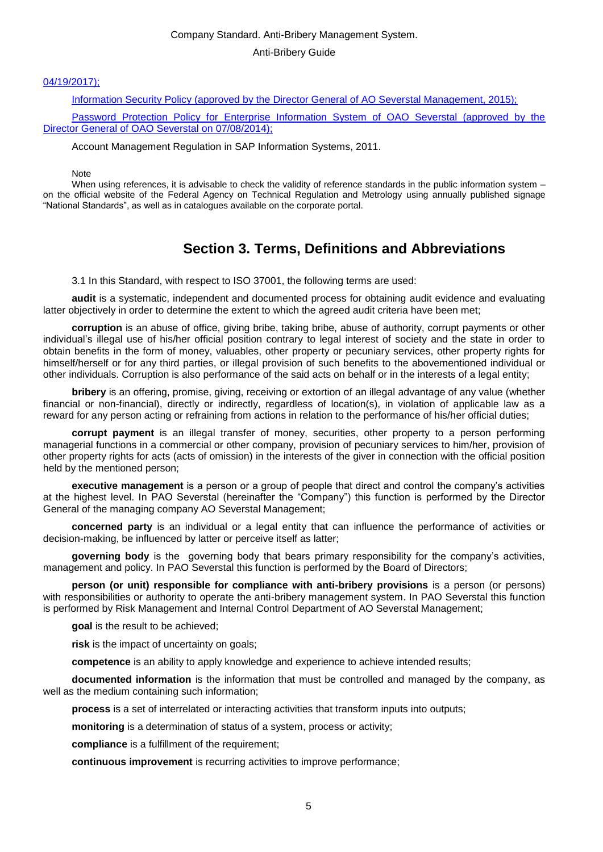#### Anti-Bribery Guide

#### [04/19/2017\);](https://workspace.severstal.com/CorporateInf/normdocs/Normdocs/Регламенты/Регламент%20работы%20Комитета%20по%20этике%202017_04_04.pdf)

[Information Security Policy \(approved by the Director General of AO Severstal Management, 2015\);](https://workspace.severstal.com/CorporateInf/normdocs/Normdocs/Политики/Политика%20в%20области%20защиты%20информации.pdf)

Password Protection Policy for [Enterprise Information System of OAO Severstal \(approved by the](https://workspace.severstal.com/CorporateInf/sob/informsecurity/informsecurity/%D0%98%D0%BD%D1%84%D0%BE%D1%80%D0%BC%D0%B0%D1%86%D0%B8%D0%BE%D0%BD%D0%BD%D0%B0%D1%8F%20%D0%B1%D0%B5%D0%B7%D0%BE%D0%BF%D0%B0%D1%81%D0%BD%D0%BE%D1%81%D1%82%D1%8C/%D0%9F%D0%BE%D0%BB%25)  [Director General of OAO Severstal](https://workspace.severstal.com/CorporateInf/sob/informsecurity/informsecurity/%D0%98%D0%BD%D1%84%D0%BE%D1%80%D0%BC%D0%B0%D1%86%D0%B8%D0%BE%D0%BD%D0%BD%D0%B0%D1%8F%20%D0%B1%D0%B5%D0%B7%D0%BE%D0%BF%D0%B0%D1%81%D0%BD%D0%BE%D1%81%D1%82%D1%8C/%D0%9F%D0%BE%D0%BB%25) on 07/08/2014);

Account Management Regulation in SAP Information Systems, 2011.

Note

<span id="page-4-0"></span>When using references, it is advisable to check the validity of reference standards in the public information system – on the official website of the Federal Agency on Technical Regulation and Metrology using annually published signage "National Standards", as well as in catalogues available on the corporate portal.

# **Section 3. Terms, Definitions and Abbreviations**

3.1 In this Standard, with respect to ISO 37001, the following terms are used:

**audit** is a systematic, independent and documented process for obtaining audit evidence and evaluating latter objectively in order to determine the extent to which the agreed audit criteria have been met;

**corruption** is an abuse of office, giving bribe, taking bribe, abuse of authority, corrupt payments or other individual's illegal use of his/her official position contrary to legal interest of society and the state in order to obtain benefits in the form of money, valuables, other property or pecuniary services, other property rights for himself/herself or for any third parties, or illegal provision of such benefits to the abovementioned individual or other individuals. Corruption is also performance of the said acts on behalf or in the interests of a legal entity;

**bribery** is an offering, promise, giving, receiving or extortion of an illegal advantage of any value (whether financial or non-financial), directly or indirectly, regardless of location(s), in violation of applicable law as a reward for any person acting or refraining from actions in relation to the performance of his/her official duties;

**corrupt payment** is an illegal transfer of money, securities, other property to a person performing managerial functions in a commercial or other company, provision of pecuniary services to him/her, provision of other property rights for acts (acts of omission) in the interests of the giver in connection with the official position held by the mentioned person;

**executive management** is a person or a group of people that direct and control the company's activities at the highest level. In PAO Severstal (hereinafter the "Company") this function is performed by the Director General of the managing company AO Severstal Management;

**concerned party** is an individual or a legal entity that can influence the performance of activities or decision-making, be influenced by latter or perceive itself as latter;

**governing body** is the governing body that bears primary responsibility for the company's activities, management and policy. In PAO Severstal this function is performed by the Board of Directors;

**person (or unit) responsible for compliance with anti-bribery provisions** is a person (or persons) with responsibilities or authority to operate the anti-bribery management system. In PAO Severstal this function is performed by Risk Management and Internal Control Department of AO Severstal Management;

**goal** is the result to be achieved;

**risk** is the impact of uncertainty on goals;

**competence** is an ability to apply knowledge and experience to achieve intended results;

**documented information** is the information that must be controlled and managed by the company, as well as the medium containing such information;

**process** is a set of interrelated or interacting activities that transform inputs into outputs;

**monitoring** is a determination of status of a system, process or activity;

**compliance** is a fulfillment of the requirement;

**continuous improvement** is recurring activities to improve performance;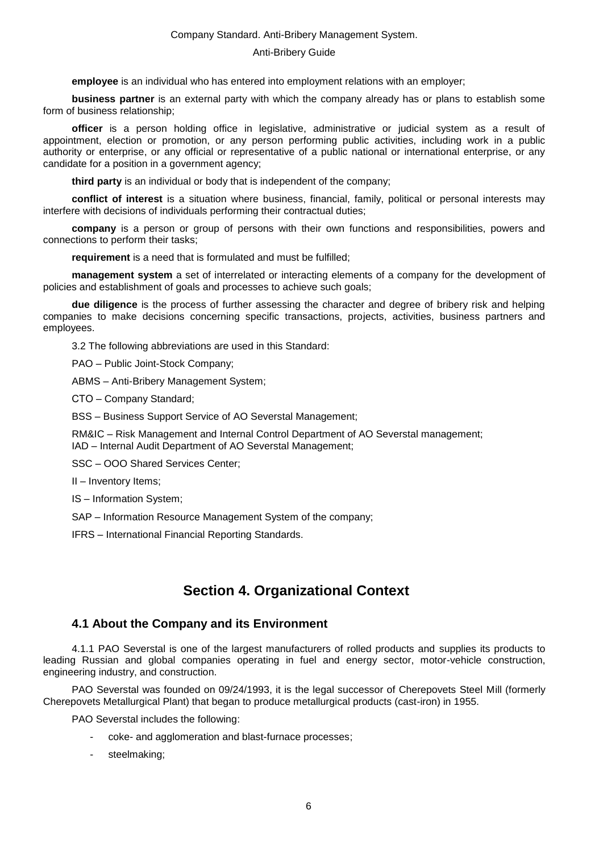#### Anti-Bribery Guide

**employee** is an individual who has entered into employment relations with an employer;

**business partner** is an external party with which the company already has or plans to establish some form of business relationship;

**officer** is a person holding office in legislative, administrative or judicial system as a result of appointment, election or promotion, or any person performing public activities, including work in a public authority or enterprise, or any official or representative of a public national or international enterprise, or any candidate for a position in a government agency;

**third party** is an individual or body that is independent of the company;

**conflict of interest** is a situation where business, financial, family, political or personal interests may interfere with decisions of individuals performing their contractual duties;

**company** is a person or group of persons with their own functions and responsibilities, powers and connections to perform their tasks;

**requirement** is a need that is formulated and must be fulfilled;

**management system** a set of interrelated or interacting elements of a company for the development of policies and establishment of goals and processes to achieve such goals;

**due diligence** is the process of further assessing the character and degree of bribery risk and helping companies to make decisions concerning specific transactions, projects, activities, business partners and employees.

3.2 The following abbreviations are used in this Standard:

PAO – Public Joint-Stock Company;

ABMS – Anti-Bribery Management System;

СТО – Company Standard;

BSS – Business Support Service of AO Severstal Management;

RM&IC – Risk Management and Internal Control Department of AO Severstal management; IAD – Internal Audit Department of AO Severstal Management;

SSC – OOO Shared Services Center;

II – Inventory Items;

IS – Information System;

SAP – Information Resource Management System of the company;

<span id="page-5-0"></span>IFRS – International Financial Reporting Standards.

# **Section 4. Organizational Context**

#### **4.1 About the Company and its Environment**

<span id="page-5-1"></span>4.1.1 PAO Severstal is one of the largest manufacturers of rolled products and supplies its products to leading Russian and global companies operating in fuel and energy sector, motor-vehicle construction, engineering industry, and construction.

PAO Severstal was founded on 09/24/1993, it is the legal successor of Cherepovets Steel Mill (formerly Cherepovets Metallurgical Plant) that began to produce metallurgical products (cast-iron) in 1955.

PAO Severstal includes the following:

- coke- and agglomeration and blast-furnace processes;
- steelmaking;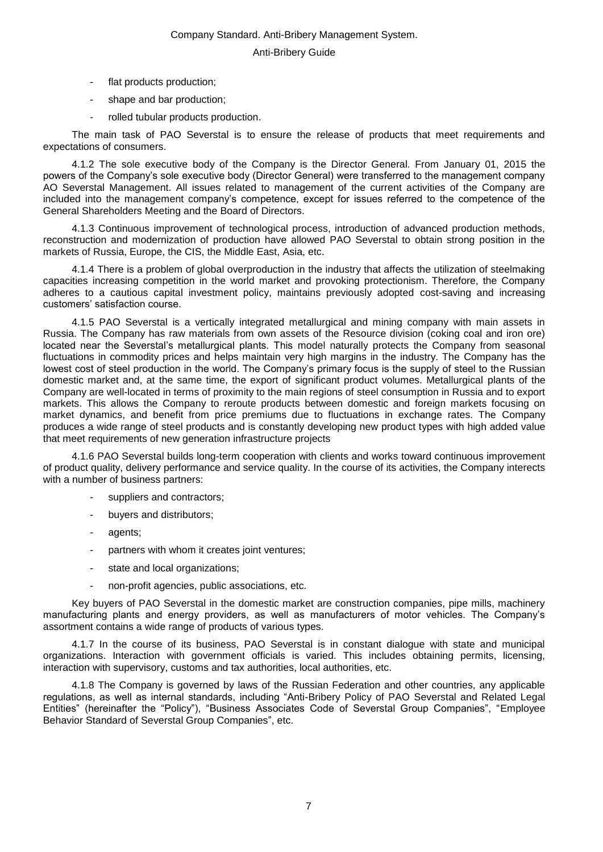- flat products production;
- shape and bar production;
- rolled tubular products production.

The main task of PAO Severstal is to ensure the release of products that meet requirements and expectations of consumers.

4.1.2 The sole executive body of the Company is the Director General. From January 01, 2015 the powers of the Company's sole executive body (Director General) were transferred to the management company AO Severstal Management. All issues related to management of the current activities of the Company are included into the management company's competence, except for issues referred to the competence of the General Shareholders Meeting and the Board of Directors.

4.1.3 Continuous improvement of technological process, introduction of advanced production methods, reconstruction and modernization of production have allowed PAO Severstal to obtain strong position in the markets of Russia, Europe, the CIS, the Middle East, Asia, etc.

4.1.4 There is a problem of global overproduction in the industry that affects the utilization of steelmaking capacities increasing competition in the world market and provoking protectionism. Therefore, the Company adheres to a cautious capital investment policy, maintains previously adopted cost-saving and increasing customers' satisfaction course.

4.1.5 PAO Severstal is a vertically integrated metallurgical and mining company with main assets in Russia. The Company has raw materials from own assets of the Resource division (coking coal and iron ore) located near the Severstal's metallurgical plants. This model naturally protects the Company from seasonal fluctuations in commodity prices and helps maintain very high margins in the industry. The Company has the lowest cost of steel production in the world. The Company's primary focus is the supply of steel to the Russian domestic market and, at the same time, the export of significant product volumes. Metallurgical plants of the Company are well-located in terms of proximity to the main regions of steel consumption in Russia and to export markets. This allows the Company to reroute products between domestic and foreign markets focusing on market dynamics, and benefit from price premiums due to fluctuations in exchange rates. The Company produces a wide range of steel products and is constantly developing new product types with high added value that meet requirements of new generation infrastructure projects

4.1.6 PAO Severstal builds long-term cooperation with clients and works toward continuous improvement of product quality, delivery performance and service quality. In the course of its activities, the Company interects with a number of business partners:

- suppliers and contractors;
- buyers and distributors;
- agents;
- partners with whom it creates joint ventures;
- state and local organizations;
- non-profit agencies, public associations, etc.

Key buyers of PAO Severstal in the domestic market are construction companies, pipe mills, machinery manufacturing plants and energy providers, as well as manufacturers of motor vehicles. The Company's assortment contains a wide range of products of various types.

4.1.7 In the course of its business, PAO Severstal is in constant dialogue with state and municipal organizations. Interaction with government officials is varied. This includes obtaining permits, licensing, interaction with supervisory, customs and tax authorities, local authorities, etc.

4.1.8 The Company is governed by laws of the Russian Federation and other countries, any applicable regulations, as well as internal standards, including "Anti-Bribery Policy of PAO Severstal and Related Legal Entities" (hereinafter the "Policy"), "Business Associates Code of Severstal Group Companies", "Employee Behavior Standard of Severstal Group Companies", etc.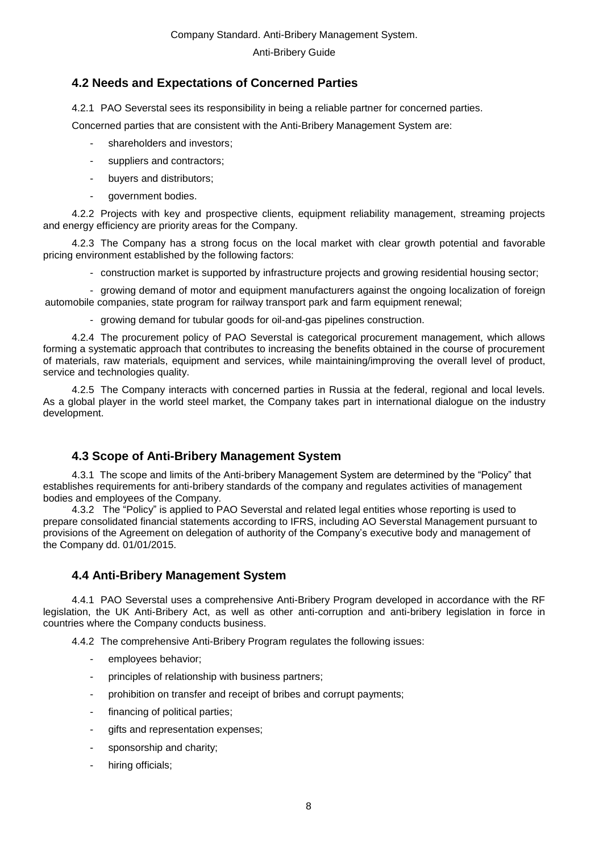### <span id="page-7-0"></span>**4.2 Needs and Expectations of Concerned Parties**

4.2.1 PAO Severstal sees its responsibility in being a reliable partner for concerned parties.

Concerned parties that are consistent with the Anti-Bribery Management System are:

- shareholders and investors;
- suppliers and contractors;
- buyers and distributors;
- government bodies.

4.2.2 Projects with key and prospective clients, equipment reliability management, streaming projects and energy efficiency are priority areas for the Company.

4.2.3 The Company has a strong focus on the local market with clear growth potential and favorable pricing environment established by the following factors:

- construction market is supported by infrastructure projects and growing residential housing sector;

- growing demand of motor and equipment manufacturers against the ongoing localization of foreign automobile companies, state program for railway transport park and farm equipment renewal;

- growing demand for tubular goods for oil-and-gas pipelines construction.

4.2.4 The procurement policy of PAO Severstal is categorical procurement management, which allows forming a systematic approach that contributes to increasing the benefits obtained in the course of procurement of materials, raw materials, equipment and services, while maintaining/improving the overall level of product, service and technologies quality.

4.2.5 The Company interacts with concerned parties in Russia at the federal, regional and local levels. As a global player in the world steel market, the Company takes part in international dialogue on the industry development.

### **4.3 Scope of Anti-Bribery Management System**

<span id="page-7-1"></span>4.3.1 The scope and limits of the Anti-bribery Management System are determined by the "Policy" that establishes requirements for anti-bribery standards of the company and regulates activities of management bodies and employees of the Company.

4.3.2 The "Policy" is applied to PAO Severstal and related legal entities whose reporting is used to prepare consolidated financial statements according to IFRS, including AO Severstal Management pursuant to provisions of the Agreement on delegation of authority of the Company's executive body and management of the Company dd. 01/01/2015.

### <span id="page-7-2"></span>**4.4 Anti-Bribery Management System**

4.4.1 PAO Severstal uses a comprehensive Anti-Bribery Program developed in accordance with the RF legislation, the UK Anti-Bribery Act, as well as other anti-corruption and anti-bribery legislation in force in countries where the Company conducts business.

4.4.2 The comprehensive Anti-Bribery Program regulates the following issues:

- employees behavior;
- principles of relationship with business partners;
- prohibition on transfer and receipt of bribes and corrupt payments;
- financing of political parties;
- gifts and representation expenses;
- sponsorship and charity;
- hiring officials;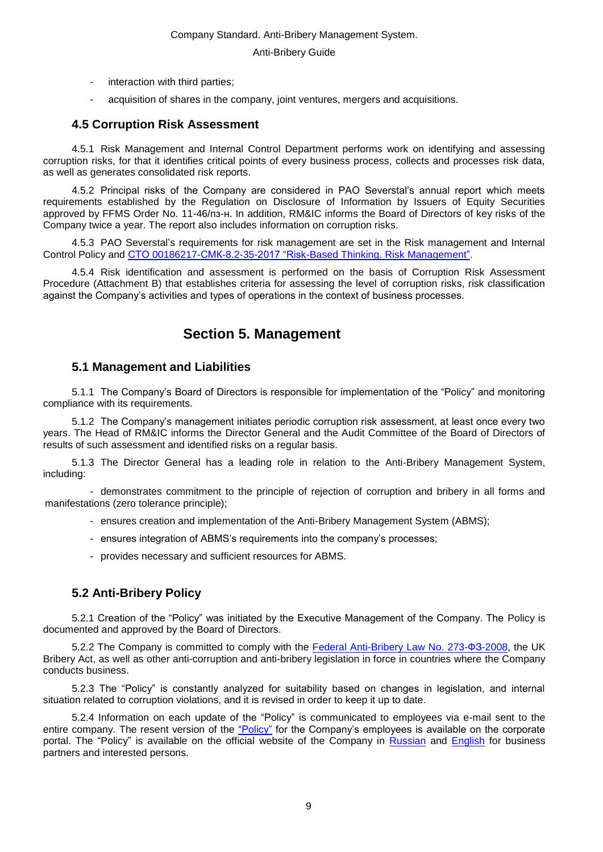- interaction with third parties;
- acquisition of shares in the company, joint ventures, mergers and acquisitions.

### <span id="page-8-0"></span>**4.5 Corruption Risk Assessment**

4.5.1 Risk Management and Internal Control Department performs work on identifying and assessing corruption risks, for that it identifies critical points of every business process, collects and processes risk data, as well as generates consolidated risk reports.

4.5.2 Principal risks of the Company are considered in PAO Severstal's annual report which meets requirements established by the Regulation on Disclosure of Information by Issuers of Equity Securities approved by FFMS Order No. 11-46/пз-н. In addition, RM&IC informs the Board of Directors of key risks of the Company twice a year. The report also includes information on corruption risks.

4.5.3 PAO Severstal's requirements for risk management are set in the Risk management and Internal Control Policy and СТО [00186217-СМК-8.2-35-2017 "Risk-Based Thinking. Risk](normacs://severstal.baza.ntd.ru/8s) Management".

<span id="page-8-1"></span>4.5.4 Risk identification and assessment is performed on the basis of Corruption Risk Assessment Procedure (Attachment B) that establishes criteria for assessing the level of corruption risks, risk classification against the Company's activities and types of operations in the context of business processes.

# **Section 5. Management**

### **5.1 Management and Liabilities**

<span id="page-8-2"></span>5.1.1 The Company's Board of Directors is responsible for implementation of the "Policy" and monitoring compliance with its requirements.

5.1.2 The Company's management initiates periodic corruption risk assessment, at least once every two years. The Head of RM&IC informs the Director General and the Audit Committee of the Board of Directors of results of such assessment and identified risks on a regular basis.

5.1.3 The Director General has a leading role in relation to the Anti-Bribery Management System, including:

- demonstrates commitment to the principle of rejection of corruption and bribery in all forms and manifestations (zero tolerance principle);

- ensures creation and implementation of the Anti-Bribery Management System (ABMS);
- ensures integration of ABMS's requirements into the company's processes;
- provides necessary and sufficient resources for ABMS.

### <span id="page-8-3"></span>**5.2 Anti-Bribery Policy**

5.2.1 Creation of the "Policy" was initiated by the Executive Management of the Company. The Policy is documented and approved by the Board of Directors.

5.2.2 The Company is committed to comply with the [Federal Anti-Bribery Law No. 273-ФЗ-2008,](normacs://normacs.ru/veps) the UK Bribery Act, as well as other anti-corruption and anti-bribery legislation in force in countries where the Company conducts business.

5.2.3 The "Policy" is constantly analyzed for suitability based on changes in legislation, and internal situation related to corruption violations, and it is revised in order to keep it up to date.

5.2.4 Information on each update of the "Policy" is communicated to employees via e-mail sent to the entire company. The resent version of the ["Policy"](https://workspace.severstal.com/CorporateInf/normdocs/Normdocs/%D0%9F%D0%BE%D0%BB%D0%B8%D1%82%D0%B8%D0%BA%D0%B8/%D0%9F%D0%BE%D0%BB%D0%B8%D1%82%D0%B8%D0%BA%D0%B0%20%D0%BF%D1%80%D0%BE%D1%82%D0%B8%D0%B2%D0%BE%D0%B4%D0%B5%D0%B9%D1%81%D1%82%D0%B2%D0%B8%D1%8F%20%D0%25) for the Company's employees is available on the corporate portal. The "Policy" is available on the official website of the Company in [Russian](https://www.severstal.com/files/23362/Severstal_anticorruption_policy_2019_rus.pdf) and [English](https://www.severstal.com/files/23408/Severstal_anticorruption_policy_2019_en.pdf) for business partners and interested persons.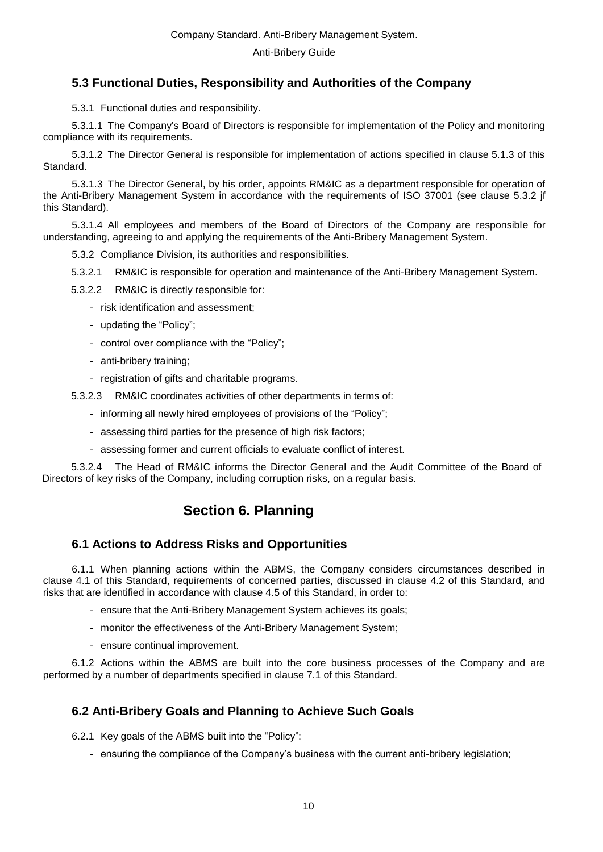### <span id="page-9-0"></span>**5.3 Functional Duties, Responsibility and Authorities of the Company**

5.3.1 Functional duties and responsibility.

5.3.1.1 The Company's Board of Directors is responsible for implementation of the Policy and monitoring compliance with its requirements.

5.3.1.2 The Director General is responsible for implementation of actions specified in clause 5.1.3 of this Standard.

5.3.1.3 The Director General, by his order, appoints RM&IC as a department responsible for operation of the Anti-Bribery Management System in accordance with the requirements of ISO 37001 (see clause 5.3.2 jf this Standard).

5.3.1.4 All employees and members of the Board of Directors of the Company are responsible for understanding, agreeing to and applying the requirements of the Anti-Bribery Management System.

5.3.2 Compliance Division, its authorities and responsibilities.

5.3.2.1 RM&IC is responsible for operation and maintenance of the Anti-Bribery Management System.

5.3.2.2 RM&IC is directly responsible for:

- risk identification and assessment;
- updating the "Policy";
- control over compliance with the "Policy";
- anti-bribery training;
- registration of gifts and charitable programs.
- 5.3.2.3 RM&IC coordinates activities of other departments in terms of:
	- informing all newly hired employees of provisions of the "Policy";
	- assessing third parties for the presence of high risk factors;
	- assessing former and current officials to evaluate conflict of interest.

<span id="page-9-1"></span>5.3.2.4 The Head of RM&IC informs the Director General and the Audit Committee of the Board of Directors of key risks of the Company, including corruption risks, on a regular basis.

# **Section 6. Planning**

### **6.1 Actions to Address Risks and Opportunities**

<span id="page-9-2"></span>6.1.1 When planning actions within the ABMS, the Company considers circumstances described in clause 4.1 of this Standard, requirements of concerned parties, discussed in clause 4.2 of this Standard, and risks that are identified in accordance with clause 4.5 of this Standard, in order to:

- ensure that the Anti-Bribery Management System achieves its goals;
- monitor the effectiveness of the Anti-Bribery Management System;
- ensure continual improvement.

6.1.2 Actions within the ABMS are built into the core business processes of the Company and are performed by a number of departments specified in clause 7.1 of this Standard.

### <span id="page-9-3"></span>**6.2 Anti-Bribery Goals and Planning to Achieve Such Goals**

6.2.1 Key goals of the ABMS built into the "Policy":

- ensuring the compliance of the Company's business with the current anti-bribery legislation;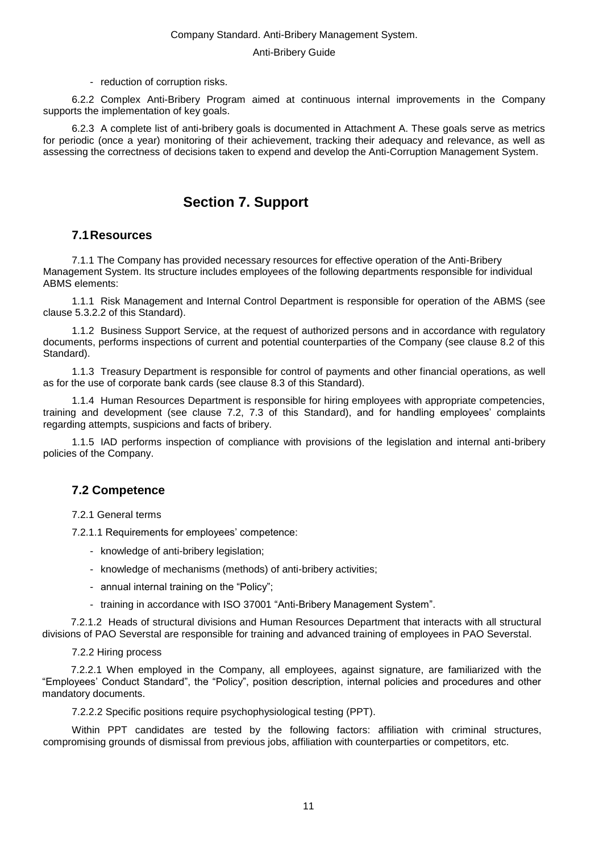- reduction of corruption risks.

6.2.2 Complex Anti-Bribery Program aimed at continuous internal improvements in the Company supports the implementation of key goals.

<span id="page-10-0"></span>6.2.3 A complete list of anti-bribery goals is documented in Attachment A. These goals serve as metrics for periodic (once a year) monitoring of their achievement, tracking their adequacy and relevance, as well as assessing the correctness of decisions taken to expend and develop the Anti-Corruption Management System.

# **Section 7. Support**

#### **7.1Resources**

<span id="page-10-1"></span>7.1.1 The Company has provided necessary resources for effective operation of the Anti-Bribery Management System. Its structure includes employees of the following departments responsible for individual ABMS elements:

1.1.1 Risk Management and Internal Control Department is responsible for operation of the ABMS (see clause 5.3.2.2 of this Standard).

1.1.2 Business Support Service, at the request of authorized persons and in accordance with regulatory documents, performs inspections of current and potential counterparties of the Company (see clause 8.2 of this Standard).

1.1.3 Treasury Department is responsible for control of payments and other financial operations, as well as for the use of corporate bank cards (see clause 8.3 of this Standard).

1.1.4 Human Resources Department is responsible for hiring employees with appropriate competencies, training and development (see clause 7.2, 7.3 of this Standard), and for handling employees' complaints regarding attempts, suspicions and facts of bribery.

1.1.5 IAD performs inspection of compliance with provisions of the legislation and internal anti-bribery policies of the Company.

### <span id="page-10-2"></span>**7.2 Competence**

7.2.1 General terms

7.2.1.1 Requirements for employees' competence:

- knowledge of anti-bribery legislation;
- knowledge of mechanisms (methods) of anti-bribery activities;
- annual internal training on the "Policy";
- training in accordance with ISO 37001 "Anti-Bribery Management System".

7.2.1.2 Heads of structural divisions and Human Resources Department that interacts with all structural divisions of PAO Severstal are responsible for training and advanced training of employees in PAO Severstal.

7.2.2 Hiring process

7.2.2.1 When employed in the Company, all employees, against signature, are familiarized with the "Employees' Conduct Standard", the "Policy", position description, internal policies and procedures and other mandatory documents.

7.2.2.2 Specific positions require psychophysiological testing (PPT).

Within PPT candidates are tested by the following factors: affiliation with criminal structures, compromising grounds of dismissal from previous jobs, affiliation with counterparties or competitors, etc.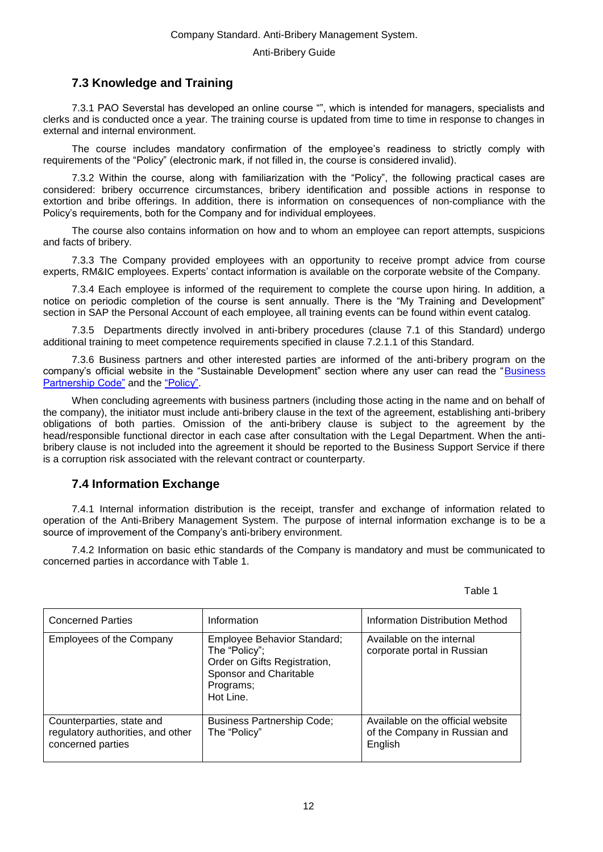### **7.3 Knowledge and Training**

<span id="page-11-0"></span>7.3.1 PAO Severstal has developed an online course "", which is intended for managers, specialists and clerks and is conducted once a year. The training course is updated from time to time in response to changes in external and internal environment.

The course includes mandatory confirmation of the employee's readiness to strictly comply with requirements of the "Policy" (electronic mark, if not filled in, the course is considered invalid).

7.3.2 Within the course, along with familiarization with the "Policy", the following practical cases are considered: bribery occurrence circumstances, bribery identification and possible actions in response to extortion and bribe offerings. In addition, there is information on consequences of non-compliance with the Policy's requirements, both for the Company and for individual employees.

The course also contains information on how and to whom an employee can report attempts, suspicions and facts of bribery.

7.3.3 The Company provided employees with an opportunity to receive prompt advice from course experts, RM&IC employees. Experts' contact information is available on the corporate website of the Company.

7.3.4 Each employee is informed of the requirement to complete the course upon hiring. In addition, a notice on periodic completion of the course is sent annually. There is the "My Training and Development" section in SAP the Personal Account of each employee, all training events can be found within event catalog.

7.3.5 Departments directly involved in anti-bribery procedures (clause 7.1 of this Standard) undergo additional training to meet competence requirements specified in clause 7.2.1.1 of this Standard.

7.3.6 Business partners and other interested parties are informed of the anti-bribery program on the company's official website in the "Sustainable Development" section where any user can read the "Business [Partnership Code"](https://www.severstal.com/files/23362/%D0%9A%D0%BE%D0%B4%D0%B5%D0%BA%D1%81%20%D0%B4%D0%B5%D0%BB%D0%BE%D0%B2%D0%BE%D0%B3%D0%BE%20%D0%BF%D0%B0%D1%80%D1%82%D0%BD%D0%B5%D1%80%D1%81%D1%82%D0%B2%D0%B0%20%D0%9F%D0%90%D0%9E%20%D0%A1%D0%B5%D0%B2%D0%B5%D1%80%D1%81%D1%82%D0%25) and the ["Policy".](https://www.severstal.com/files/23362/Severstal_anticorruption_policy_2019_rus.pdf)

When concluding agreements with business partners (including those acting in the name and on behalf of the company), the initiator must include anti-bribery clause in the text of the agreement, establishing anti-bribery obligations of both parties. Omission of the anti-bribery clause is subject to the agreement by the head/responsible functional director in each case after consultation with the Legal Department. When the antibribery clause is not included into the agreement it should be reported to the Business Support Service if there is a corruption risk associated with the relevant contract or counterparty.

### <span id="page-11-1"></span>**7.4 Information Exchange**

7.4.1 Internal information distribution is the receipt, transfer and exchange of information related to operation of the Anti-Bribery Management System. The purpose of internal information exchange is to be a source of improvement of the Company's anti-bribery environment.

7.4.2 Information on basic ethic standards of the Company is mandatory and must be communicated to concerned parties in accordance with Table 1.

| Table 1 |
|---------|
|---------|

| <b>Concerned Parties</b>                                                            | Information                                                                                                                      | <b>Information Distribution Method</b>                                        |
|-------------------------------------------------------------------------------------|----------------------------------------------------------------------------------------------------------------------------------|-------------------------------------------------------------------------------|
| <b>Employees of the Company</b>                                                     | Employee Behavior Standard;<br>The "Policy";<br>Order on Gifts Registration,<br>Sponsor and Charitable<br>Programs;<br>Hot Line. | Available on the internal<br>corporate portal in Russian                      |
| Counterparties, state and<br>regulatory authorities, and other<br>concerned parties | <b>Business Partnership Code;</b><br>The "Policy"                                                                                | Available on the official website<br>of the Company in Russian and<br>English |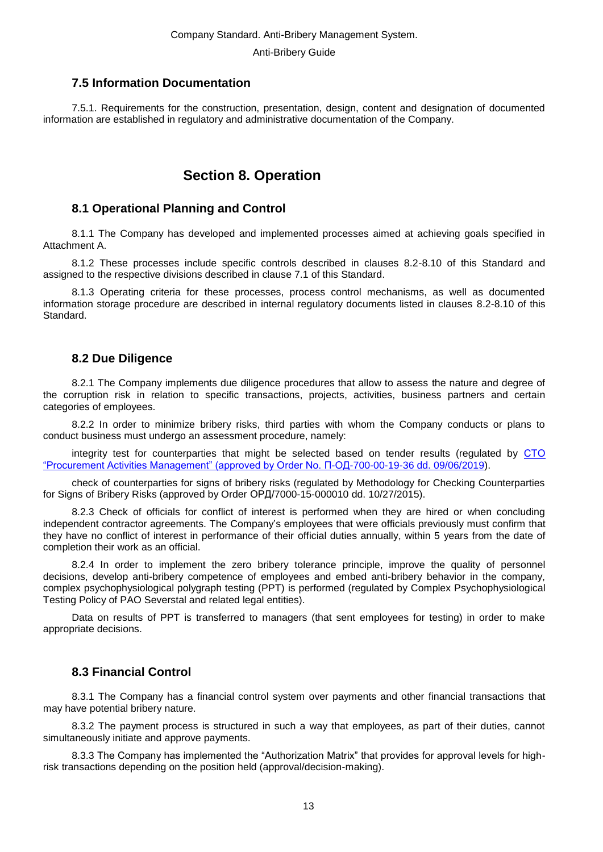### **7.5 Information Documentation**

<span id="page-12-1"></span><span id="page-12-0"></span>7.5.1. Requirements for the construction, presentation, design, content and designation of documented information are established in regulatory and administrative documentation of the Company.

# **Section 8. Operation**

### **8.1 Operational Planning and Control**

<span id="page-12-2"></span>8.1.1 The Company has developed and implemented processes aimed at achieving goals specified in Attachment A.

8.1.2 These processes include specific controls described in clauses 8.2-8.10 of this Standard and assigned to the respective divisions described in clause 7.1 of this Standard.

8.1.3 Operating criteria for these processes, process control mechanisms, as well as documented information storage procedure are described in internal regulatory documents listed in clauses 8.2-8.10 of this Standard.

### <span id="page-12-3"></span>**8.2 Due Diligence**

8.2.1 The Company implements due diligence procedures that allow to assess the nature and degree of the corruption risk in relation to specific transactions, projects, activities, business partners and certain categories of employees.

8.2.2 In order to minimize bribery risks, third parties with whom the Company conducts or plans to conduct business must undergo an assessment procedure, namely:

integrity test for counterparties that might be selected based on tender results (regulated by [СТО](normacs://severstal.baza.ntd.ru/AS?dob=43940.892639&dol=43945.484884)  ["Procurement Activities Management" \(approved by Order No. П-ОД-700-00-19-36 dd. 09/06/2019\)](normacs://severstal.baza.ntd.ru/AS?dob=43940.892639&dol=43945.484884).

check of counterparties for signs of bribery risks (regulated by Methodology for Checking Counterparties for Signs of Bribery Risks (approved by Order ОРД/7000-15-000010 dd. 10/27/2015).

8.2.3 Check of officials for conflict of interest is performed when they are hired or when concluding independent contractor agreements. The Company's employees that were officials previously must confirm that they have no conflict of interest in performance of their official duties annually, within 5 years from the date of completion their work as an official.

8.2.4 In order to implement the zero bribery tolerance principle, improve the quality of personnel decisions, develop anti-bribery competence of employees and embed anti-bribery behavior in the company, complex psychophysiological polygraph testing (PPT) is performed (regulated by Complex Psychophysiological Testing Policy of PAO Severstal and related legal entities).

Data on results of PPT is transferred to managers (that sent employees for testing) in order to make appropriate decisions.

### <span id="page-12-4"></span>**8.3 Financial Control**

8.3.1 The Company has a financial control system over payments and other financial transactions that may have potential bribery nature.

8.3.2 The payment process is structured in such a way that employees, as part of their duties, cannot simultaneously initiate and approve payments.

8.3.3 The Company has implemented the "Authorization Matrix" that provides for approval levels for highrisk transactions depending on the position held (approval/decision-making).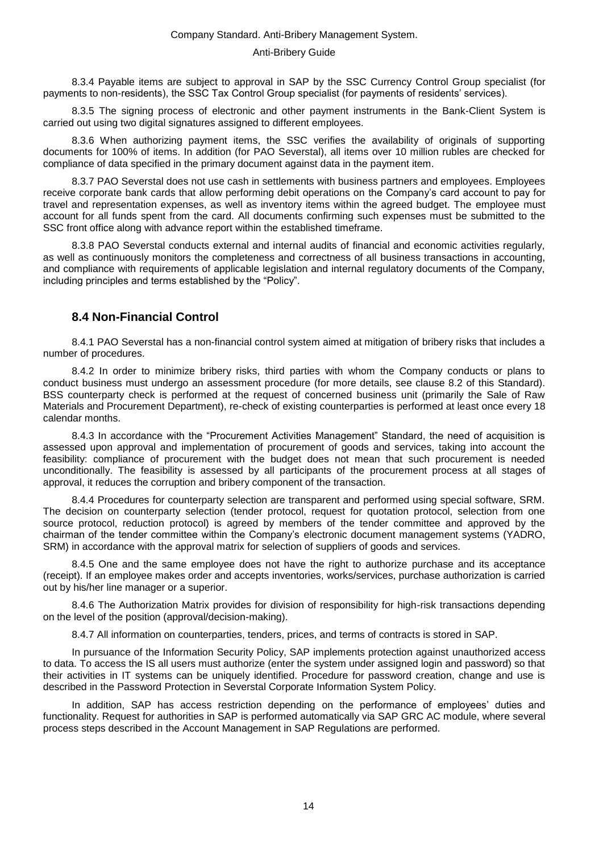#### Anti-Bribery Guide

8.3.4 Payable items are subject to approval in SAP by the SSC Currency Control Group specialist (for payments to non-residents), the SSC Tax Control Group specialist (for payments of residents' services).

8.3.5 The signing process of electronic and other payment instruments in the Bank-Client System is carried out using two digital signatures assigned to different employees.

8.3.6 When authorizing payment items, the SSC verifies the availability of originals of supporting documents for 100% of items. In addition (for PAO Severstal), all items over 10 million rubles are checked for compliance of data specified in the primary document against data in the payment item.

8.3.7 PAO Severstal does not use cash in settlements with business partners and employees. Employees receive corporate bank cards that allow performing debit operations on the Company's card account to pay for travel and representation expenses, as well as inventory items within the agreed budget. The employee must account for all funds spent from the card. All documents confirming such expenses must be submitted to the SSC front office along with advance report within the established timeframe.

8.3.8 PAO Severstal conducts external and internal audits of financial and economic activities regularly, as well as continuously monitors the completeness and correctness of all business transactions in accounting, and compliance with requirements of applicable legislation and internal regulatory documents of the Company, including principles and terms established by the "Policy".

### <span id="page-13-0"></span>**8.4 Non-Financial Control**

8.4.1 PAO Severstal has a non-financial control system aimed at mitigation of bribery risks that includes a number of procedures.

8.4.2 In order to minimize bribery risks, third parties with whom the Company conducts or plans to conduct business must undergo an assessment procedure (for more details, see clause 8.2 of this Standard). BSS counterparty check is performed at the request of concerned business unit (primarily the Sale of Raw Materials and Procurement Department), re-check of existing counterparties is performed at least once every 18 calendar months.

8.4.3 In accordance with the "Procurement Activities Management" Standard, the need of acquisition is assessed upon approval and implementation of procurement of goods and services, taking into account the feasibility: compliance of procurement with the budget does not mean that such procurement is needed unconditionally. The feasibility is assessed by all participants of the procurement process at all stages of approval, it reduces the corruption and bribery component of the transaction.

8.4.4 Procedures for counterparty selection are transparent and performed using special software, SRM. The decision on counterparty selection (tender protocol, request for quotation protocol, selection from one source protocol, reduction protocol) is agreed by members of the tender committee and approved by the chairman of the tender committee within the Company's electronic document management systems (YADRO, SRM) in accordance with the approval matrix for selection of suppliers of goods and services.

8.4.5 One and the same employee does not have the right to authorize purchase and its acceptance (receipt). If an employee makes order and accepts inventories, works/services, purchase authorization is carried out by his/her line manager or a superior.

8.4.6 The Authorization Matrix provides for division of responsibility for high-risk transactions depending on the level of the position (approval/decision-making).

8.4.7 All information on counterparties, tenders, prices, and terms of contracts is stored in SAP.

In pursuance of the Information Security Policy, SAP implements protection against unauthorized access to data. To access the IS all users must authorize (enter the system under assigned login and password) so that their activities in IT systems can be uniquely identified. Procedure for password creation, change and use is described in the Password Protection in Severstal Corporate Information System Policy.

In addition, SAP has access restriction depending on the performance of employees' duties and functionality. Request for authorities in SAP is performed automatically via SAP GRC AC module, where several process steps described in the Account Management in SAP Regulations are performed.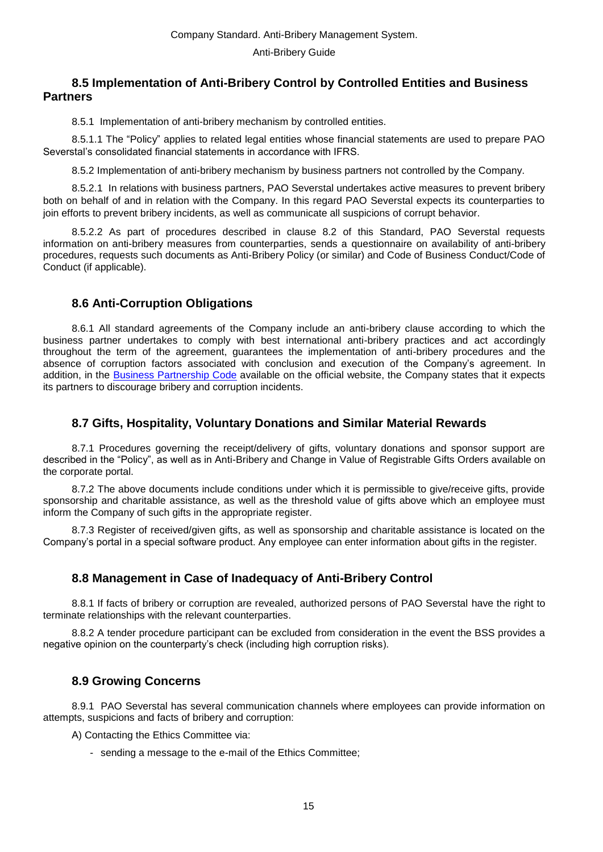### <span id="page-14-0"></span>**8.5 Implementation of Anti-Bribery Control by Controlled Entities and Business Partners**

8.5.1Implementation of anti-bribery mechanism by controlled entities.

8.5.1.1 The "Policy" applies to related legal entities whose financial statements are used to prepare PAO Severstal's consolidated financial statements in accordance with IFRS.

8.5.2 Implementation of anti-bribery mechanism by business partners not controlled by the Company.

8.5.2.1 In relations with business partners, PAO Severstal undertakes active measures to prevent bribery both on behalf of and in relation with the Company. In this regard PAO Severstal expects its counterparties to join efforts to prevent bribery incidents, as well as communicate all suspicions of corrupt behavior.

8.5.2.2 As part of procedures described in clause 8.2 of this Standard, PAO Severstal requests information on anti-bribery measures from counterparties, sends a questionnaire on availability of anti-bribery procedures, requests such documents as Anti-Bribery Policy (or similar) and Code of Business Conduct/Code of Conduct (if applicable).

### <span id="page-14-1"></span>**8.6 Anti-Corruption Obligations**

8.6.1 All standard agreements of the Company include an anti-bribery clause according to which the business partner undertakes to comply with best international anti-bribery practices and act accordingly throughout the term of the agreement, guarantees the implementation of anti-bribery procedures and the absence of corruption factors associated with conclusion and execution of the Company's agreement. In addition, in the [Business Partnership Code](https://workspace.severstal.com/CorporateInf/normdocs/Normdocs/%D0%9A%D0%BE%D0%B4%D0%B5%D0%BA%D1%81%D1%8B/%D0%9A%D0%BE%D0%B4%D0%B5%D0%BA%D1%81%20%D0%B4%D0%B5%D0%BB%D0%BE%D0%B2%D0%BE%D0%B3%D0%BE%20%D0%BF%D0%B0%D1%80%D1%82%D0%BD%D0%B5%D1%80%D1%81%D1%82%D0%B2%D0%25) available on the official website, the Company states that it expects its partners to discourage bribery and corruption incidents.

### **8.7 Gifts, Hospitality, Voluntary Donations and Similar Material Rewards**

<span id="page-14-2"></span>8.7.1 Procedures governing the receipt/delivery of gifts, voluntary donations and sponsor support are described in the "Policy", as well as in Anti-Bribery and Change in Value of Registrable Gifts Orders available on the corporate portal.

8.7.2 The above documents include conditions under which it is permissible to give/receive gifts, provide sponsorship and charitable assistance, as well as the threshold value of gifts above which an employee must inform the Company of such gifts in the appropriate register.

8.7.3 Register of received/given gifts, as well as sponsorship and charitable assistance is located on the Company's portal in a special software product. Any employee can enter information about gifts in the register.

### <span id="page-14-3"></span>**8.8 Management in Case of Inadequacy of Anti-Bribery Control**

8.8.1 If facts of bribery or corruption are revealed, authorized persons of PAO Severstal have the right to terminate relationships with the relevant counterparties.

8.8.2 A tender procedure participant can be excluded from consideration in the event the BSS provides a negative opinion on the counterparty's check (including high corruption risks).

### <span id="page-14-4"></span>**8.9 Growing Concerns**

8.9.1 PAO Severstal has several communication channels where employees can provide information on attempts, suspicions and facts of bribery and corruption:

А) Contacting the Ethics Committee via:

- sending a message to the e-mail of the Ethics Committee;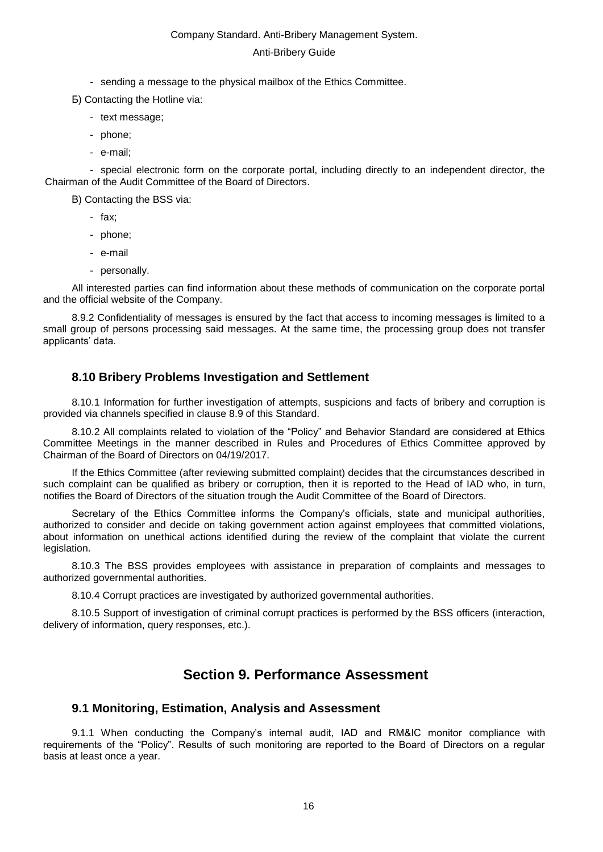#### Anti-Bribery Guide

- sending a message to the physical mailbox of the Ethics Committee.
- Б) Contacting the Hotline via:
	- text message;
	- phone;
	- e-mail;

- special electronic form on the corporate portal, including directly to an independent director, the Chairman of the Audit Committee of the Board of Directors.

В) Contacting the BSS via:

- fax;
- phone;
- e-mail
- personally.

All interested parties can find information about these methods of communication on the corporate portal and the official website of the Company.

8.9.2 Confidentiality of messages is ensured by the fact that access to incoming messages is limited to a small group of persons processing said messages. At the same time, the processing group does not transfer applicants' data.

### <span id="page-15-0"></span>**8.10 Bribery Problems Investigation and Settlement**

8.10.1 Information for further investigation of attempts, suspicions and facts of bribery and corruption is provided via channels specified in clause 8.9 of this Standard.

8.10.2 All complaints related to violation of the "Policy" and Behavior Standard are considered at Ethics Committee Meetings in the manner described in Rules and Procedures of Ethics Committee approved by Chairman of the Board of Directors on 04/19/2017.

If the Ethics Committee (after reviewing submitted complaint) decides that the circumstances described in such complaint can be qualified as bribery or corruption, then it is reported to the Head of IAD who, in turn, notifies the Board of Directors of the situation trough the Audit Committee of the Board of Directors.

Secretary of the Ethics Committee informs the Company's officials, state and municipal authorities, authorized to consider and decide on taking government action against employees that committed violations, about information on unethical actions identified during the review of the complaint that violate the current legislation.

8.10.3 The BSS provides employees with assistance in preparation of complaints and messages to authorized governmental authorities.

8.10.4 Corrupt practices are investigated by authorized governmental authorities.

<span id="page-15-1"></span>8.10.5 Support of investigation of criminal corrupt practices is performed by the BSS officers (interaction, delivery of information, query responses, etc.).

# **Section 9. Performance Assessment**

### **9.1 Monitoring, Estimation, Analysis and Assessment**

<span id="page-15-2"></span>9.1.1 When conducting the Company's internal audit, IAD and RM&IC monitor compliance with requirements of the "Policy". Results of such monitoring are reported to the Board of Directors on a regular basis at least once a year.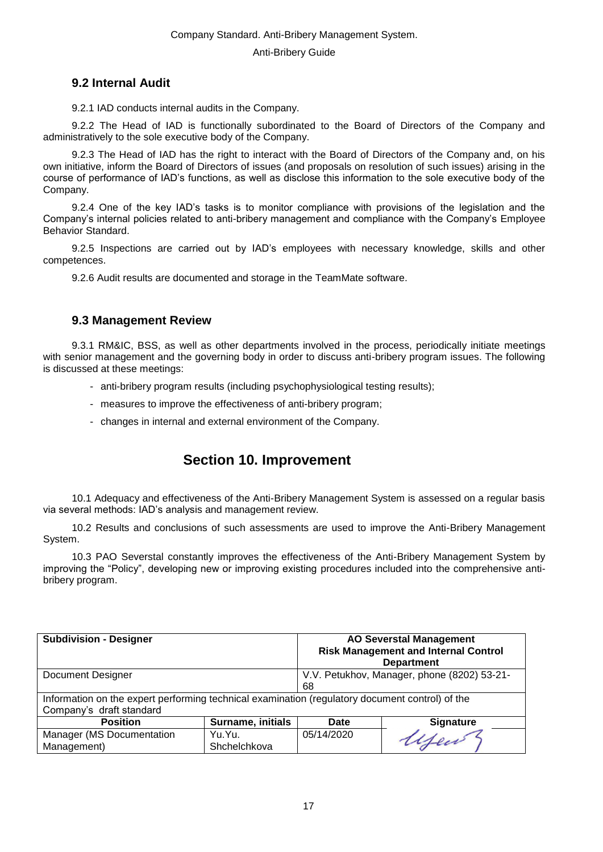### <span id="page-16-0"></span>**9.2 Internal Audit**

9.2.1 IAD conducts internal audits in the Company.

9.2.2 The Head of IAD is functionally subordinated to the Board of Directors of the Company and administratively to the sole executive body of the Company.

9.2.3 The Head of IAD has the right to interact with the Board of Directors of the Company and, on his own initiative, inform the Board of Directors of issues (and proposals on resolution of such issues) arising in the course of performance of IAD's functions, as well as disclose this information to the sole executive body of the Company.

9.2.4 One of the key IAD's tasks is to monitor compliance with provisions of the legislation and the Company's internal policies related to anti-bribery management and compliance with the Company's Employee Behavior Standard.

9.2.5 Inspections are carried out by IAD's employees with necessary knowledge, skills and other competences.

9.2.6 Audit results are documented and storage in the TeamMate software.

### <span id="page-16-1"></span>**9.3 Management Review**

9.3.1 RM&IC, BSS, as well as other departments involved in the process, periodically initiate meetings with senior management and the governing body in order to discuss anti-bribery program issues. The following is discussed at these meetings:

- anti-bribery program results (including psychophysiological testing results);
- measures to improve the effectiveness of anti-bribery program;
- <span id="page-16-2"></span>- changes in internal and external environment of the Company.

# **Section 10. Improvement**

10.1 Adequacy and effectiveness of the Anti-Bribery Management System is assessed on a regular basis via several methods: IAD's analysis and management review.

10.2 Results and conclusions of such assessments are used to improve the Anti-Bribery Management System.

10.3 PAO Severstal constantly improves the effectiveness of the Anti-Bribery Management System by improving the "Policy", developing new or improving existing procedures included into the comprehensive antibribery program.

| <b>Subdivision - Designer</b> |                          | <b>AO Severstal Management</b><br><b>Risk Management and Internal Control</b>                   |                  |  |  |  |
|-------------------------------|--------------------------|-------------------------------------------------------------------------------------------------|------------------|--|--|--|
|                               |                          | <b>Department</b>                                                                               |                  |  |  |  |
| Document Designer             |                          | V.V. Petukhov, Manager, phone (8202) 53-21-                                                     |                  |  |  |  |
|                               |                          | 68                                                                                              |                  |  |  |  |
|                               |                          | Information on the expert performing technical examination (regulatory document control) of the |                  |  |  |  |
| Company's draft standard      |                          |                                                                                                 |                  |  |  |  |
| <b>Position</b>               | <b>Surname, initials</b> | Date                                                                                            | <b>Signature</b> |  |  |  |
| Manager (MS Documentation     | Yu.Yu.                   | 05/14/2020                                                                                      |                  |  |  |  |
| Management)                   | Shchelchkova             |                                                                                                 |                  |  |  |  |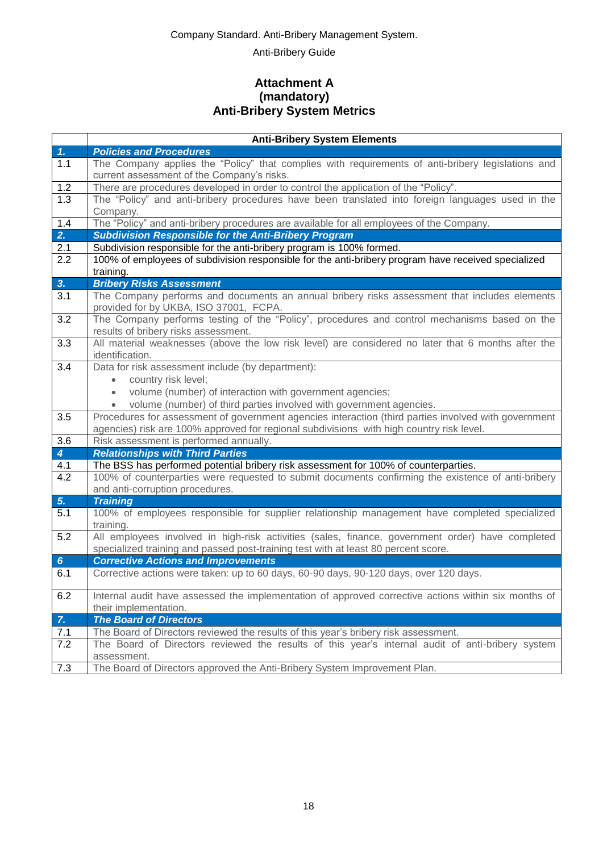Anti-Bribery Guide

### **Attachment A (mandatory) Anti-Bribery System Metrics**

<span id="page-17-0"></span>

|                 | <b>Anti-Bribery System Elements</b>                                                                                                                                                              |
|-----------------|--------------------------------------------------------------------------------------------------------------------------------------------------------------------------------------------------|
| 1.              | <b>Policies and Procedures</b>                                                                                                                                                                   |
| 1.1             | The Company applies the "Policy" that complies with requirements of anti-bribery legislations and<br>current assessment of the Company's risks.                                                  |
| 1.2             | There are procedures developed in order to control the application of the "Policy".                                                                                                              |
| 1.3             | The "Policy" and anti-bribery procedures have been translated into foreign languages used in the<br>Company.                                                                                     |
| 1.4             | The "Policy" and anti-bribery procedures are available for all employees of the Company.                                                                                                         |
| 2.              | <b>Subdivision Responsible for the Anti-Bribery Program</b>                                                                                                                                      |
| 2.1             | Subdivision responsible for the anti-bribery program is 100% formed.                                                                                                                             |
| 2.2             | 100% of employees of subdivision responsible for the anti-bribery program have received specialized<br>training.                                                                                 |
| 3.              | <b>Bribery Risks Assessment</b>                                                                                                                                                                  |
| 3.1             | The Company performs and documents an annual bribery risks assessment that includes elements<br>provided for by UKBA, ISO 37001, FCPA.                                                           |
| 3.2             | The Company performs testing of the "Policy", procedures and control mechanisms based on the<br>results of bribery risks assessment.                                                             |
| 3.3             | All material weaknesses (above the low risk level) are considered no later that 6 months after the<br>identification.                                                                            |
| 3.4             | Data for risk assessment include (by department):                                                                                                                                                |
|                 | country risk level;                                                                                                                                                                              |
|                 | volume (number) of interaction with government agencies;<br>$\bullet$                                                                                                                            |
|                 | volume (number) of third parties involved with government agencies.                                                                                                                              |
| 3.5             | Procedures for assessment of government agencies interaction (third parties involved with government<br>agencies) risk are 100% approved for regional subdivisions with high country risk level. |
| 3.6             | Risk assessment is performed annually.                                                                                                                                                           |
| $\overline{4}$  | <b>Relationships with Third Parties</b>                                                                                                                                                          |
| 4.1             | The BSS has performed potential bribery risk assessment for 100% of counterparties.                                                                                                              |
| 4.2             | 100% of counterparties were requested to submit documents confirming the existence of anti-bribery                                                                                               |
|                 | and anti-corruption procedures.                                                                                                                                                                  |
| 5.              | <b>Training</b>                                                                                                                                                                                  |
| 5.1             | 100% of employees responsible for supplier relationship management have completed specialized<br>training.                                                                                       |
| 5.2             | All employees involved in high-risk activities (sales, finance, government order) have completed                                                                                                 |
|                 | specialized training and passed post-training test with at least 80 percent score.                                                                                                               |
| $6\phantom{1}6$ | <b>Corrective Actions and Improvements</b>                                                                                                                                                       |
| 6.1             | Corrective actions were taken: up to 60 days, 60-90 days, 90-120 days, over 120 days.                                                                                                            |
| 6.2             | Internal audit have assessed the implementation of approved corrective actions within six months of                                                                                              |
|                 | their implementation.                                                                                                                                                                            |
| $Z_{\rm c}$     | <b>The Board of Directors</b>                                                                                                                                                                    |
| 7.1             | The Board of Directors reviewed the results of this year's bribery risk assessment.                                                                                                              |
| 7.2             | The Board of Directors reviewed the results of this year's internal audit of anti-bribery system<br>assessment.                                                                                  |
| 7.3             | The Board of Directors approved the Anti-Bribery System Improvement Plan.                                                                                                                        |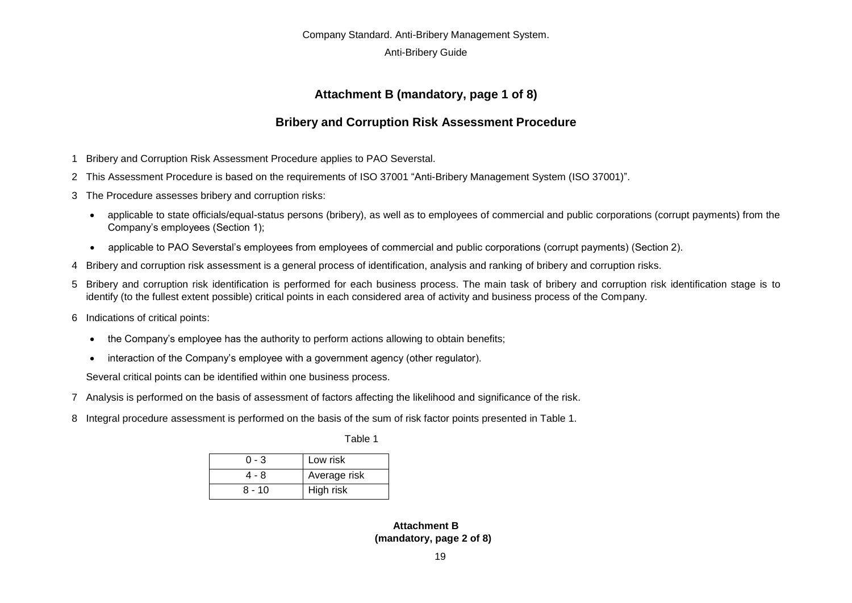#### Anti-Bribery Guide

### **Attachment B (mandatory, page 1 of 8)**

### **Bribery and Corruption Risk Assessment Procedure**

- 1 Bribery and Corruption Risk Assessment Procedure applies to PAO Severstal.
- 2 This Assessment Procedure is based on the requirements of ISO 37001 "Anti-Bribery Management System (ISO 37001)".
- 3 The Procedure assesses bribery and corruption risks:
	- applicable to state officials/equal-status persons (bribery), as well as to employees of commercial and public corporations (corrupt payments) from the Company's employees (Section 1);
	- applicable to PAO Severstal's employees from employees of commercial and public corporations (corrupt payments) (Section 2).
- 4 Bribery and corruption risk assessment is a general process of identification, analysis and ranking of bribery and corruption risks.
- 5 Bribery and corruption risk identification is performed for each business process. The main task of bribery and corruption risk identification stage is to identify (to the fullest extent possible) critical points in each considered area of activity and business process of the Company.
- <span id="page-18-0"></span>6 Indications of critical points:
	- the Company's employee has the authority to perform actions allowing to obtain benefits;
	- interaction of the Company's employee with a government agency (other regulator).

Several critical points can be identified within one business process.

- 7 Analysis is performed on the basis of assessment of factors affecting the likelihood and significance of the risk.
- 8 Integral procedure assessment is performed on the basis of the sum of risk factor points presented in Table 1.

Table 1

| 0 - 3  | Low risk     |  |  |
|--------|--------------|--|--|
| 4 - 8  | Average risk |  |  |
| 8 - 10 | High risk    |  |  |

**Attachment B (mandatory, page 2 of 8)**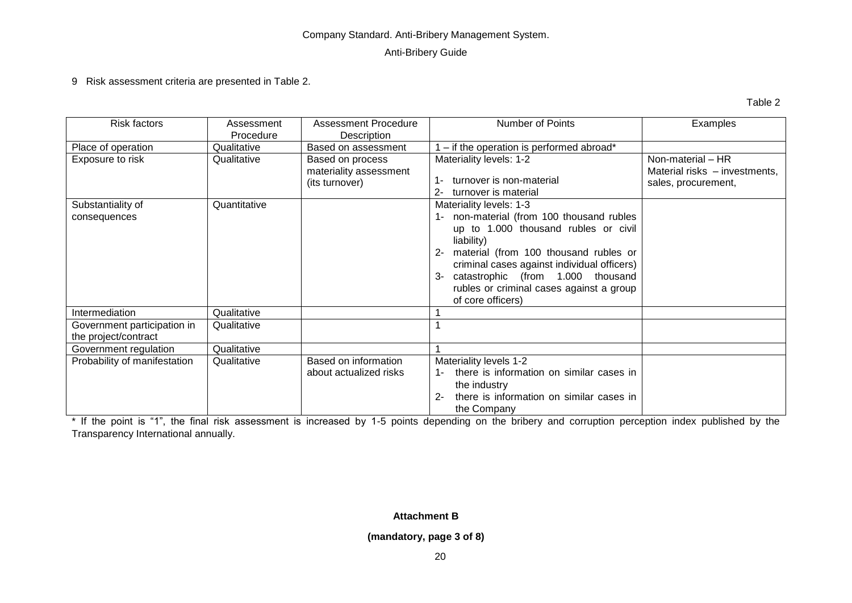#### Anti-Bribery Guide

9 Risk assessment criteria are presented in Table 2.

Table 2

| Risk factors                 | Assessment   | <b>Assessment Procedure</b> | Number of Points                                  | Examples                      |
|------------------------------|--------------|-----------------------------|---------------------------------------------------|-------------------------------|
|                              | Procedure    | Description                 |                                                   |                               |
| Place of operation           | Qualitative  | Based on assessment         | - if the operation is performed abroad*           |                               |
| Exposure to risk             | Qualitative  | Based on process            | Materiality levels: 1-2                           | Non-material - HR             |
|                              |              | materiality assessment      |                                                   | Material risks - investments, |
|                              |              | (its turnover)              | turnover is non-material<br>1-                    | sales, procurement,           |
|                              |              |                             | turnover is material<br>$2 -$                     |                               |
| Substantiality of            | Quantitative |                             | Materiality levels: 1-3                           |                               |
| consequences                 |              |                             | 1- non-material (from 100 thousand rubles         |                               |
|                              |              |                             | up to 1.000 thousand rubles or civil              |                               |
|                              |              |                             | liability)                                        |                               |
|                              |              |                             | material (from 100 thousand rubles or<br>$2 -$    |                               |
|                              |              |                             | criminal cases against individual officers)       |                               |
|                              |              |                             | catastrophic (from 1.000 thousand<br>3-           |                               |
|                              |              |                             | rubles or criminal cases against a group          |                               |
|                              |              |                             | of core officers)                                 |                               |
| Intermediation               | Qualitative  |                             |                                                   |                               |
|                              |              |                             |                                                   |                               |
| Government participation in  | Qualitative  |                             |                                                   |                               |
| the project/contract         |              |                             |                                                   |                               |
| Government regulation        | Qualitative  |                             |                                                   |                               |
| Probability of manifestation | Qualitative  | Based on information        | Materiality levels 1-2                            |                               |
|                              |              | about actualized risks      | there is information on similar cases in          |                               |
|                              |              |                             | the industry                                      |                               |
|                              |              |                             | there is information on similar cases in<br>$2 -$ |                               |
|                              |              |                             | the Company                                       |                               |

\* If the point is "1", the final risk assessment is increased by 1-5 points depending on the bribery and corruption perception index published by the Transparency International annually.

### **Attachment B**

#### **(mandatory, page 3 of 8)**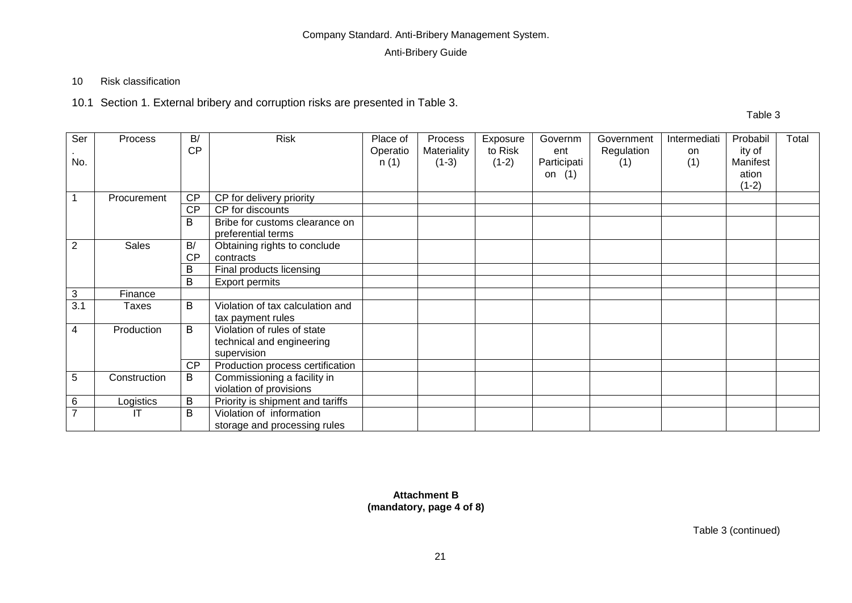### Anti-Bribery Guide

### 10 Risk classification

10.1 Section 1. External bribery and corruption risks are presented in Table 3.

Table 3

| Ser            | Process      | B/<br><b>CP</b> | <b>Risk</b>                                                             | Place of<br>Operatio | Process<br>Materiality | Exposure<br>to Risk | Governm<br>ent          | Government<br>Regulation | Intermediati<br><b>on</b> | Probabil<br>ity of           | Total |
|----------------|--------------|-----------------|-------------------------------------------------------------------------|----------------------|------------------------|---------------------|-------------------------|--------------------------|---------------------------|------------------------------|-------|
| No.            |              |                 |                                                                         | n(1)                 | $(1-3)$                | $(1-2)$             | Participati<br>on $(1)$ | (1)                      | (1)                       | Manifest<br>ation<br>$(1-2)$ |       |
|                | Procurement  | CP              | CP for delivery priority                                                |                      |                        |                     |                         |                          |                           |                              |       |
|                |              | <b>CP</b>       | CP for discounts                                                        |                      |                        |                     |                         |                          |                           |                              |       |
|                |              | B               | Bribe for customs clearance on<br>preferential terms                    |                      |                        |                     |                         |                          |                           |                              |       |
| $\overline{2}$ | <b>Sales</b> | B/              | Obtaining rights to conclude                                            |                      |                        |                     |                         |                          |                           |                              |       |
|                |              | <b>CP</b>       | contracts                                                               |                      |                        |                     |                         |                          |                           |                              |       |
|                |              | B               | Final products licensing                                                |                      |                        |                     |                         |                          |                           |                              |       |
|                |              | B               | Export permits                                                          |                      |                        |                     |                         |                          |                           |                              |       |
| 3              | Finance      |                 |                                                                         |                      |                        |                     |                         |                          |                           |                              |       |
| 3.1            | <b>Taxes</b> | B               | Violation of tax calculation and<br>tax payment rules                   |                      |                        |                     |                         |                          |                           |                              |       |
| 4              | Production   | B               | Violation of rules of state<br>technical and engineering<br>supervision |                      |                        |                     |                         |                          |                           |                              |       |
|                |              | <b>CP</b>       | Production process certification                                        |                      |                        |                     |                         |                          |                           |                              |       |
| 5              | Construction | B               | Commissioning a facility in<br>violation of provisions                  |                      |                        |                     |                         |                          |                           |                              |       |
| 6              | Logistics    | B               | Priority is shipment and tariffs                                        |                      |                        |                     |                         |                          |                           |                              |       |
| 7              |              | B               | Violation of information<br>storage and processing rules                |                      |                        |                     |                         |                          |                           |                              |       |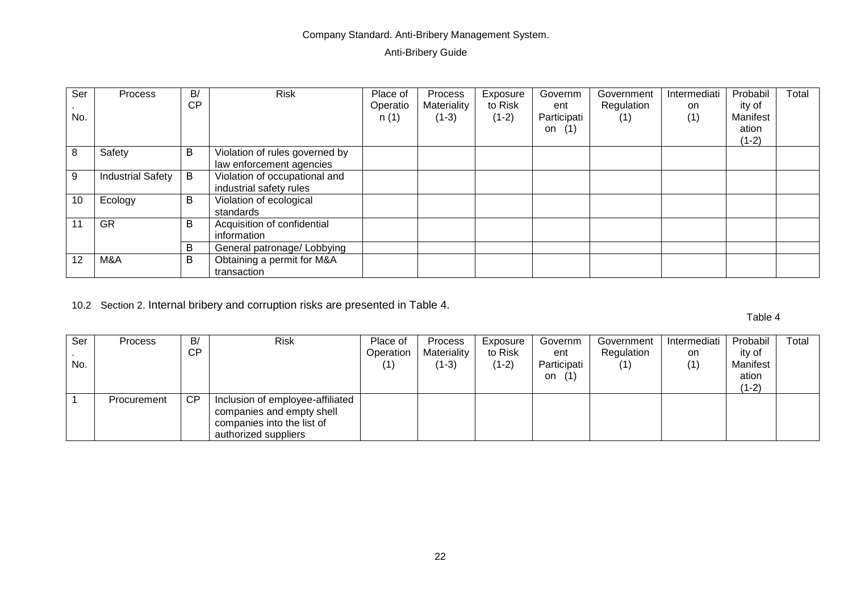### Anti-Bribery Guide

| Ser<br>No. | Process                  | B/<br><b>CP</b> | <b>Risk</b>                                                | Place of<br>Operatio<br>n(1) | Process<br>Materiality<br>$(1-3)$ | Exposure<br>to Risk<br>$(1-2)$ | Governm<br>ent<br>Participati<br>(1)<br>on | Government<br>Regulation<br>(1) | Intermediati<br>on<br>(1) | Probabil<br>ity of<br>Manifest<br>ation<br>$(1-2)$ | Total |
|------------|--------------------------|-----------------|------------------------------------------------------------|------------------------------|-----------------------------------|--------------------------------|--------------------------------------------|---------------------------------|---------------------------|----------------------------------------------------|-------|
| 8          | Safety                   | В               | Violation of rules governed by<br>law enforcement agencies |                              |                                   |                                |                                            |                                 |                           |                                                    |       |
| 9          | <b>Industrial Safety</b> | B               | Violation of occupational and<br>industrial safety rules   |                              |                                   |                                |                                            |                                 |                           |                                                    |       |
| 10         | Ecology                  | В               | Violation of ecological<br>standards                       |                              |                                   |                                |                                            |                                 |                           |                                                    |       |
| 11         | <b>GR</b>                | B               | Acquisition of confidential<br>information                 |                              |                                   |                                |                                            |                                 |                           |                                                    |       |
|            |                          | В               | General patronage/ Lobbying                                |                              |                                   |                                |                                            |                                 |                           |                                                    |       |
| 12         | M&A                      | В               | Obtaining a permit for M&A<br>transaction                  |                              |                                   |                                |                                            |                                 |                           |                                                    |       |

10.2 Section 2. Internal bribery and corruption risks are presented in Table 4.

Table 4

| Ser<br>No. | <b>Process</b> | B/<br>CP  | <b>Risk</b>                                                                                                         | Place of<br>Operation<br>(1) | <b>Process</b><br>Materiality<br>(1-3) | Exposure<br>to Risk<br>$(1-2)$ | Governm<br>ent<br>Participati<br>(1)<br>on | Government<br>Regulation<br>(1) | Intermediati<br>on<br>(1) | Probabil<br>ity of<br>Manifest<br>ation | Total |
|------------|----------------|-----------|---------------------------------------------------------------------------------------------------------------------|------------------------------|----------------------------------------|--------------------------------|--------------------------------------------|---------------------------------|---------------------------|-----------------------------------------|-------|
|            | Procurement    | <b>CP</b> | Inclusion of employee-affiliated<br>companies and empty shell<br>companies into the list of<br>authorized suppliers |                              |                                        |                                |                                            |                                 |                           | $(1-2)$                                 |       |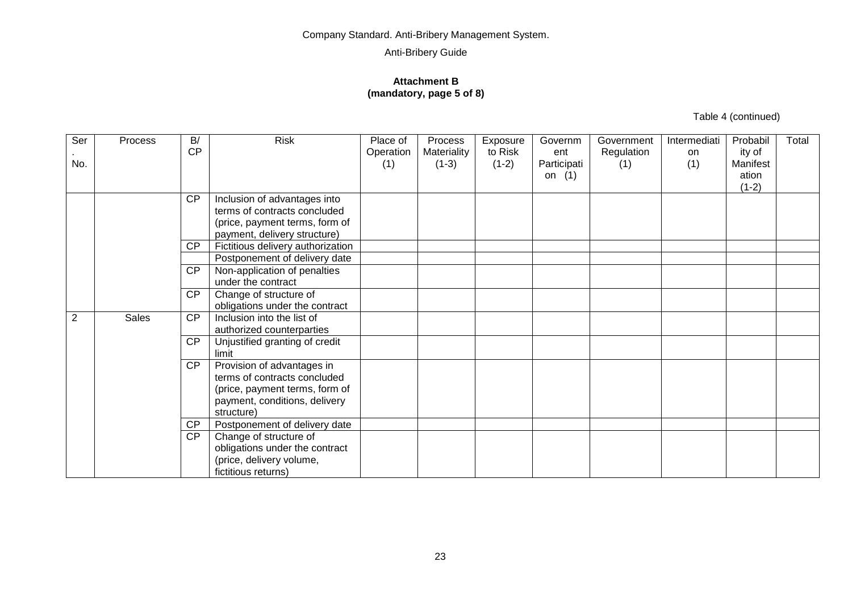#### **Attachment B (mandatory, page 5 of 8)**

Table 4 (continued)

| Ser<br>No.     | Process      | B/<br><b>CP</b> | <b>Risk</b>                                                                                                                                 | Place of<br>Operation<br>(1) | Process<br>Materiality<br>$(1-3)$ | Exposure<br>to Risk<br>$(1-2)$ | Governm<br>ent<br>Participati<br>on $(1)$ | Government<br>Regulation<br>(1) | Intermediati<br>on<br>(1) | Probabil<br>ity of<br>Manifest<br>ation<br>$(1-2)$ | Total |
|----------------|--------------|-----------------|---------------------------------------------------------------------------------------------------------------------------------------------|------------------------------|-----------------------------------|--------------------------------|-------------------------------------------|---------------------------------|---------------------------|----------------------------------------------------|-------|
|                |              | <b>CP</b>       | Inclusion of advantages into<br>terms of contracts concluded<br>(price, payment terms, form of<br>payment, delivery structure)              |                              |                                   |                                |                                           |                                 |                           |                                                    |       |
|                |              | <b>CP</b>       | Fictitious delivery authorization                                                                                                           |                              |                                   |                                |                                           |                                 |                           |                                                    |       |
|                |              |                 | Postponement of delivery date                                                                                                               |                              |                                   |                                |                                           |                                 |                           |                                                    |       |
|                |              | $\overline{CP}$ | Non-application of penalties<br>under the contract                                                                                          |                              |                                   |                                |                                           |                                 |                           |                                                    |       |
|                |              | <b>CP</b>       | Change of structure of<br>obligations under the contract                                                                                    |                              |                                   |                                |                                           |                                 |                           |                                                    |       |
| $\overline{2}$ | <b>Sales</b> | <b>CP</b>       | Inclusion into the list of<br>authorized counterparties                                                                                     |                              |                                   |                                |                                           |                                 |                           |                                                    |       |
|                |              | <b>CP</b>       | Unjustified granting of credit<br>limit                                                                                                     |                              |                                   |                                |                                           |                                 |                           |                                                    |       |
|                |              | <b>CP</b>       | Provision of advantages in<br>terms of contracts concluded<br>(price, payment terms, form of<br>payment, conditions, delivery<br>structure) |                              |                                   |                                |                                           |                                 |                           |                                                    |       |
|                |              | <b>CP</b>       | Postponement of delivery date                                                                                                               |                              |                                   |                                |                                           |                                 |                           |                                                    |       |
|                |              | <b>CP</b>       | Change of structure of<br>obligations under the contract<br>(price, delivery volume,<br>fictitious returns)                                 |                              |                                   |                                |                                           |                                 |                           |                                                    |       |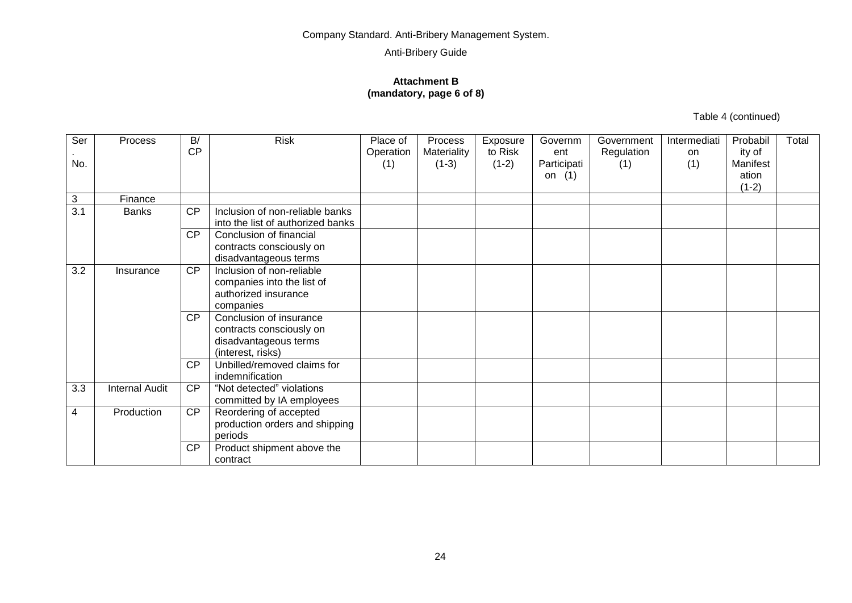#### **Attachment B (mandatory, page 6 of 8)**

Table 4 (continued)

| Ser                       | Process        | B/<br><b>CP</b> | <b>Risk</b>                                                                                       | Place of<br>Operation | Process<br>Materiality | Exposure<br>to Risk | Governm<br>ent          | Government<br>Regulation | Intermediati<br>on | Probabil<br>ity of           | Total |
|---------------------------|----------------|-----------------|---------------------------------------------------------------------------------------------------|-----------------------|------------------------|---------------------|-------------------------|--------------------------|--------------------|------------------------------|-------|
| No.                       |                |                 |                                                                                                   | (1)                   | $(1-3)$                | $(1-2)$             | Participati<br>on $(1)$ | (1)                      | (1)                | Manifest<br>ation<br>$(1-2)$ |       |
| $\ensuremath{\mathsf{3}}$ | Finance        |                 |                                                                                                   |                       |                        |                     |                         |                          |                    |                              |       |
| 3.1                       | <b>Banks</b>   | <b>CP</b>       | Inclusion of non-reliable banks<br>into the list of authorized banks                              |                       |                        |                     |                         |                          |                    |                              |       |
|                           |                | <b>CP</b>       | Conclusion of financial<br>contracts consciously on<br>disadvantageous terms                      |                       |                        |                     |                         |                          |                    |                              |       |
| 3.2                       | Insurance      | <b>CP</b>       | Inclusion of non-reliable<br>companies into the list of<br>authorized insurance<br>companies      |                       |                        |                     |                         |                          |                    |                              |       |
|                           |                | <b>CP</b>       | Conclusion of insurance<br>contracts consciously on<br>disadvantageous terms<br>(interest, risks) |                       |                        |                     |                         |                          |                    |                              |       |
|                           |                | <b>CP</b>       | Unbilled/removed claims for<br>indemnification                                                    |                       |                        |                     |                         |                          |                    |                              |       |
| 3.3                       | Internal Audit | CP              | "Not detected" violations<br>committed by IA employees                                            |                       |                        |                     |                         |                          |                    |                              |       |
| 4                         | Production     | CP              | Reordering of accepted<br>production orders and shipping<br>periods                               |                       |                        |                     |                         |                          |                    |                              |       |
|                           |                | <b>CP</b>       | Product shipment above the<br>contract                                                            |                       |                        |                     |                         |                          |                    |                              |       |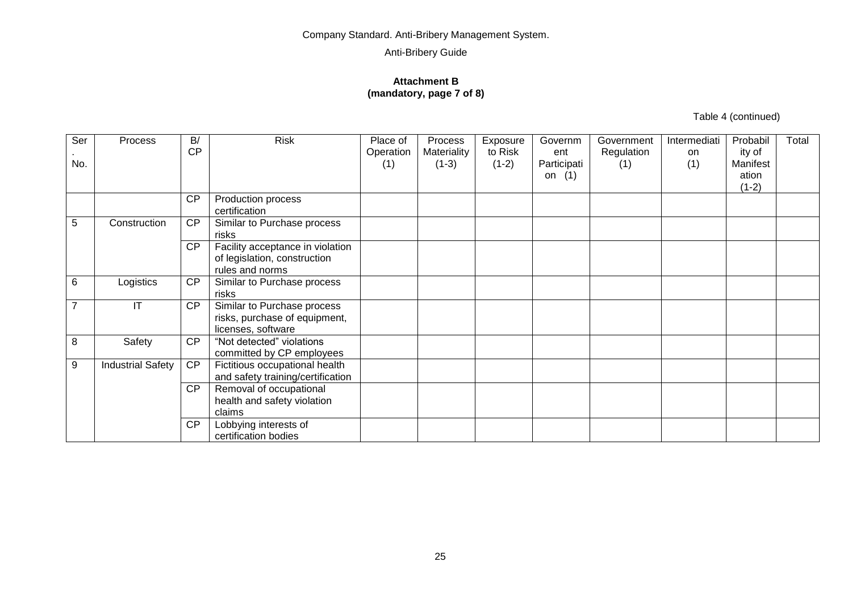#### **Attachment B (mandatory, page 7 of 8)**

Table 4 (continued)

| Ser            | Process                  | B/<br><b>CP</b> | <b>Risk</b>                                                                         | Place of<br>Operation | Process<br>Materiality | Exposure<br>to Risk | Governm<br>ent          | Government<br>Regulation | Intermediati<br>on | Probabil<br>ity of           | Total |
|----------------|--------------------------|-----------------|-------------------------------------------------------------------------------------|-----------------------|------------------------|---------------------|-------------------------|--------------------------|--------------------|------------------------------|-------|
| No.            |                          |                 |                                                                                     | (1)                   | $(1-3)$                | $(1-2)$             | Participati<br>on $(1)$ | (1)                      | (1)                | Manifest<br>ation<br>$(1-2)$ |       |
|                |                          | <b>CP</b>       | Production process<br>certification                                                 |                       |                        |                     |                         |                          |                    |                              |       |
| 5              | Construction             | CP              | Similar to Purchase process<br>risks                                                |                       |                        |                     |                         |                          |                    |                              |       |
|                |                          | CP              | Facility acceptance in violation<br>of legislation, construction<br>rules and norms |                       |                        |                     |                         |                          |                    |                              |       |
| 6              | Logistics                | <b>CP</b>       | Similar to Purchase process<br>risks                                                |                       |                        |                     |                         |                          |                    |                              |       |
| $\overline{7}$ | IT                       | <b>CP</b>       | Similar to Purchase process<br>risks, purchase of equipment,<br>licenses, software  |                       |                        |                     |                         |                          |                    |                              |       |
| 8              | Safety                   | CP              | "Not detected" violations<br>committed by CP employees                              |                       |                        |                     |                         |                          |                    |                              |       |
| 9              | <b>Industrial Safety</b> | CP              | Fictitious occupational health<br>and safety training/certification                 |                       |                        |                     |                         |                          |                    |                              |       |
|                |                          | <b>CP</b>       | Removal of occupational<br>health and safety violation<br>claims                    |                       |                        |                     |                         |                          |                    |                              |       |
|                |                          | CP              | Lobbying interests of<br>certification bodies                                       |                       |                        |                     |                         |                          |                    |                              |       |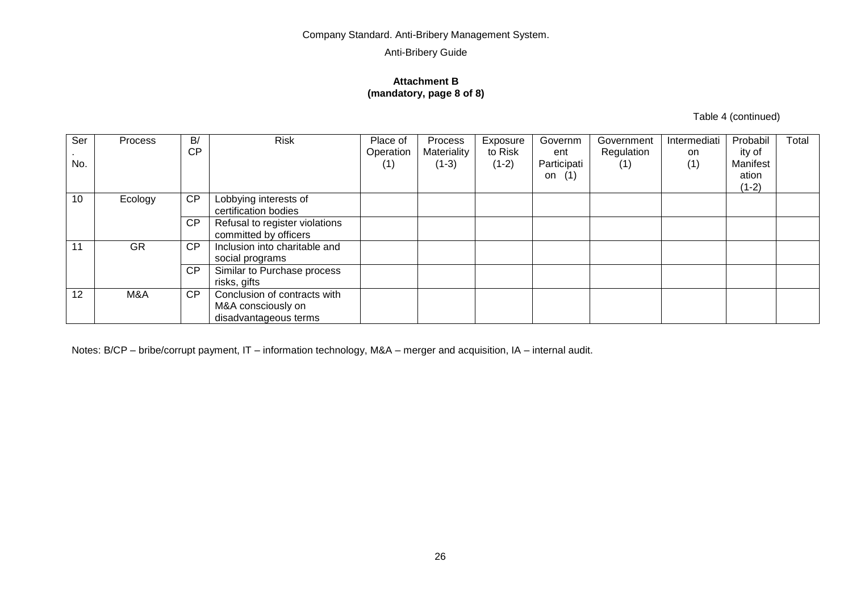#### **Attachment B (mandatory, page 8 of 8)**

Table 4 (continued)

| Ser | Process | B/        | <b>Risk</b>                    | Place of  | Process     | Exposure | Governm     | Government | Intermediati | Probabil | Total |
|-----|---------|-----------|--------------------------------|-----------|-------------|----------|-------------|------------|--------------|----------|-------|
|     |         | <b>CP</b> |                                | Operation | Materiality | to Risk  | ent         | Regulation | on           | ity of   |       |
| No. |         |           |                                | (1)       | $(1-3)$     | $(1-2)$  | Participati | (1)        | (1)          | Manifest |       |
|     |         |           |                                |           |             |          | (1)<br>on   |            |              | ation    |       |
|     |         |           |                                |           |             |          |             |            |              | $(1-2)$  |       |
| 10  | Ecology | CP        | Lobbying interests of          |           |             |          |             |            |              |          |       |
|     |         |           | certification bodies           |           |             |          |             |            |              |          |       |
|     |         | CP        | Refusal to register violations |           |             |          |             |            |              |          |       |
|     |         |           | committed by officers          |           |             |          |             |            |              |          |       |
| 11  | GR      | <b>CP</b> | Inclusion into charitable and  |           |             |          |             |            |              |          |       |
|     |         |           | social programs                |           |             |          |             |            |              |          |       |
|     |         | CP        | Similar to Purchase process    |           |             |          |             |            |              |          |       |
|     |         |           | risks, gifts                   |           |             |          |             |            |              |          |       |
| 12  | M&A     | CP        | Conclusion of contracts with   |           |             |          |             |            |              |          |       |
|     |         |           | M&A consciously on             |           |             |          |             |            |              |          |       |
|     |         |           | disadvantageous terms          |           |             |          |             |            |              |          |       |

Notes: B/CP – bribe/corrupt payment, IT – information technology, M&A – merger and acquisition, IA – internal audit.